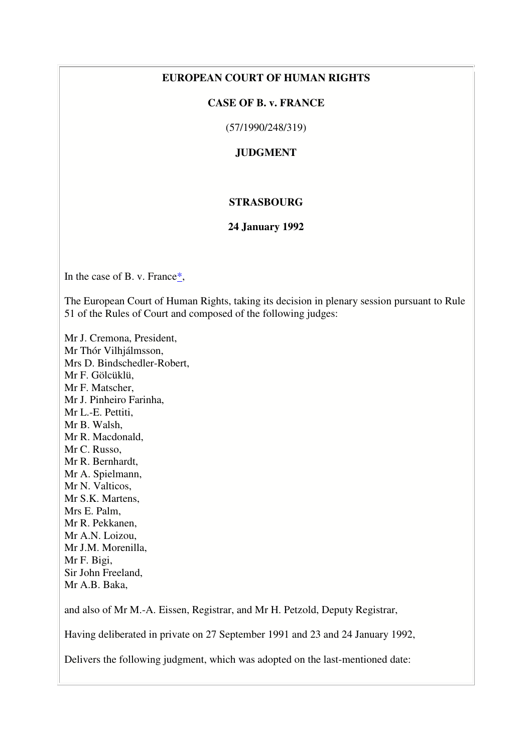### **EUROPEAN COURT OF HUMAN RIGHTS**

### **CASE OF B. v. FRANCE**

(57/1990/248/319)

### **JUDGMENT**

### **STRASBOURG**

#### **24 January 1992**

In the case of B. v. France  $\frac{*}{\cdot}$ ,

The European Court of Human Rights, taking its decision in plenary session pursuant to Rule 51 of the Rules of Court and composed of the following judges:

Mr J. Cremona, President, Mr Thór Vilhjálmsson, Mrs D. Bindschedler-Robert, Mr F. Gölcüklü, Mr F. Matscher, Mr J. Pinheiro Farinha, Mr L.-E. Pettiti, Mr B. Walsh, Mr R. Macdonald, Mr C. Russo, Mr R. Bernhardt, Mr A. Spielmann, Mr N. Valticos, Mr S.K. Martens, Mrs E. Palm, Mr R. Pekkanen, Mr A.N. Loizou, Mr J.M. Morenilla, Mr F. Bigi, Sir John Freeland, Mr A.B. Baka,

and also of Mr M.-A. Eissen, Registrar, and Mr H. Petzold, Deputy Registrar,

Having deliberated in private on 27 September 1991 and 23 and 24 January 1992,

Delivers the following judgment, which was adopted on the last-mentioned date: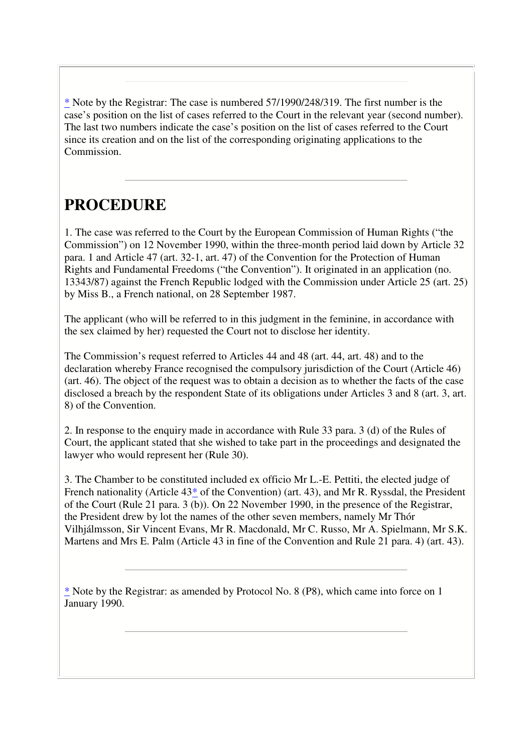\* Note by the Registrar: The case is numbered 57/1990/248/319. The first number is the case's position on the list of cases referred to the Court in the relevant year (second number). The last two numbers indicate the case's position on the list of cases referred to the Court since its creation and on the list of the corresponding originating applications to the Commission.

# **PROCEDURE**

1. The case was referred to the Court by the European Commission of Human Rights ("the Commission") on 12 November 1990, within the three-month period laid down by Article 32 para. 1 and Article 47 (art. 32-1, art. 47) of the Convention for the Protection of Human Rights and Fundamental Freedoms ("the Convention"). It originated in an application (no. 13343/87) against the French Republic lodged with the Commission under Article 25 (art. 25) by Miss B., a French national, on 28 September 1987.

The applicant (who will be referred to in this judgment in the feminine, in accordance with the sex claimed by her) requested the Court not to disclose her identity.

The Commission's request referred to Articles 44 and 48 (art. 44, art. 48) and to the declaration whereby France recognised the compulsory jurisdiction of the Court (Article 46) (art. 46). The object of the request was to obtain a decision as to whether the facts of the case disclosed a breach by the respondent State of its obligations under Articles 3 and 8 (art. 3, art. 8) of the Convention.

2. In response to the enquiry made in accordance with Rule 33 para. 3 (d) of the Rules of Court, the applicant stated that she wished to take part in the proceedings and designated the lawyer who would represent her (Rule 30).

3. The Chamber to be constituted included ex officio Mr L.-E. Pettiti, the elected judge of French nationality (Article  $43*$  of the Convention) (art. 43), and Mr R. Ryssdal, the President of the Court (Rule 21 para. 3 (b)). On 22 November 1990, in the presence of the Registrar, the President drew by lot the names of the other seven members, namely Mr Thór Vilhjálmsson, Sir Vincent Evans, Mr R. Macdonald, Mr C. Russo, Mr A. Spielmann, Mr S.K. Martens and Mrs E. Palm (Article 43 in fine of the Convention and Rule 21 para. 4) (art. 43).

\* Note by the Registrar: as amended by Protocol No. 8 (P8), which came into force on 1 January 1990.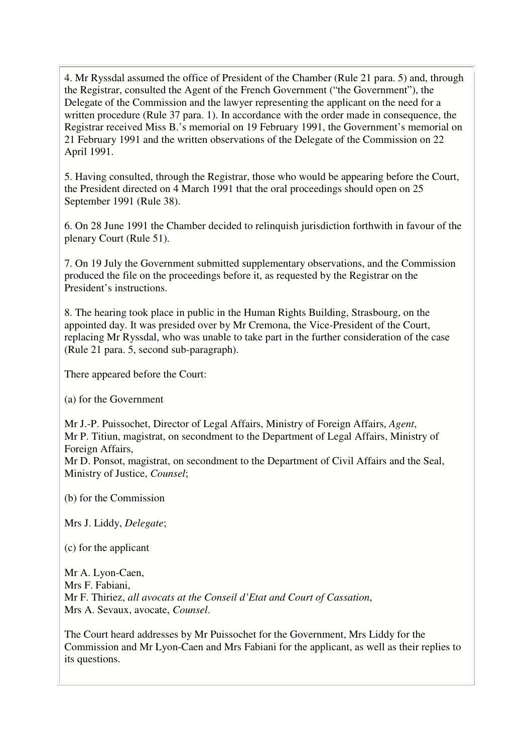4. Mr Ryssdal assumed the office of President of the Chamber (Rule 21 para. 5) and, through the Registrar, consulted the Agent of the French Government ("the Government"), the Delegate of the Commission and the lawyer representing the applicant on the need for a written procedure (Rule 37 para. 1). In accordance with the order made in consequence, the Registrar received Miss B.'s memorial on 19 February 1991, the Government's memorial on 21 February 1991 and the written observations of the Delegate of the Commission on 22 April 1991.

5. Having consulted, through the Registrar, those who would be appearing before the Court, the President directed on 4 March 1991 that the oral proceedings should open on 25 September 1991 (Rule 38).

6. On 28 June 1991 the Chamber decided to relinquish jurisdiction forthwith in favour of the plenary Court (Rule 51).

7. On 19 July the Government submitted supplementary observations, and the Commission produced the file on the proceedings before it, as requested by the Registrar on the President's instructions.

8. The hearing took place in public in the Human Rights Building, Strasbourg, on the appointed day. It was presided over by Mr Cremona, the Vice-President of the Court, replacing Mr Ryssdal, who was unable to take part in the further consideration of the case (Rule 21 para. 5, second sub-paragraph).

There appeared before the Court:

(a) for the Government

Mr J.-P. Puissochet, Director of Legal Affairs, Ministry of Foreign Affairs, *Agent*, Mr P. Titiun, magistrat, on secondment to the Department of Legal Affairs, Ministry of Foreign Affairs,

Mr D. Ponsot, magistrat, on secondment to the Department of Civil Affairs and the Seal, Ministry of Justice, *Counsel*;

(b) for the Commission

Mrs J. Liddy, *Delegate*;

(c) for the applicant

Mr A. Lyon-Caen, Mrs F. Fabiani, Mr F. Thiriez, *all avocats at the Conseil d'Etat and Court of Cassation*, Mrs A. Sevaux, avocate, *Counsel*.

The Court heard addresses by Mr Puissochet for the Government, Mrs Liddy for the Commission and Mr Lyon-Caen and Mrs Fabiani for the applicant, as well as their replies to its questions.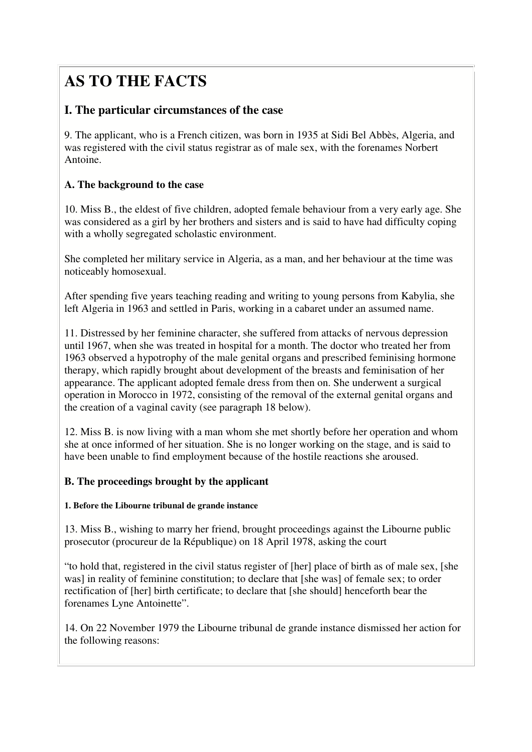# **AS TO THE FACTS**

# **I. The particular circumstances of the case**

9. The applicant, who is a French citizen, was born in 1935 at Sidi Bel Abbès, Algeria, and was registered with the civil status registrar as of male sex, with the forenames Norbert Antoine.

## **A. The background to the case**

10. Miss B., the eldest of five children, adopted female behaviour from a very early age. She was considered as a girl by her brothers and sisters and is said to have had difficulty coping with a wholly segregated scholastic environment.

She completed her military service in Algeria, as a man, and her behaviour at the time was noticeably homosexual.

After spending five years teaching reading and writing to young persons from Kabylia, she left Algeria in 1963 and settled in Paris, working in a cabaret under an assumed name.

11. Distressed by her feminine character, she suffered from attacks of nervous depression until 1967, when she was treated in hospital for a month. The doctor who treated her from 1963 observed a hypotrophy of the male genital organs and prescribed feminising hormone therapy, which rapidly brought about development of the breasts and feminisation of her appearance. The applicant adopted female dress from then on. She underwent a surgical operation in Morocco in 1972, consisting of the removal of the external genital organs and the creation of a vaginal cavity (see paragraph 18 below).

12. Miss B. is now living with a man whom she met shortly before her operation and whom she at once informed of her situation. She is no longer working on the stage, and is said to have been unable to find employment because of the hostile reactions she aroused.

# **B. The proceedings brought by the applicant**

## **1. Before the Libourne tribunal de grande instance**

13. Miss B., wishing to marry her friend, brought proceedings against the Libourne public prosecutor (procureur de la République) on 18 April 1978, asking the court

"to hold that, registered in the civil status register of [her] place of birth as of male sex, [she was] in reality of feminine constitution; to declare that [she was] of female sex; to order rectification of [her] birth certificate; to declare that [she should] henceforth bear the forenames Lyne Antoinette".

14. On 22 November 1979 the Libourne tribunal de grande instance dismissed her action for the following reasons: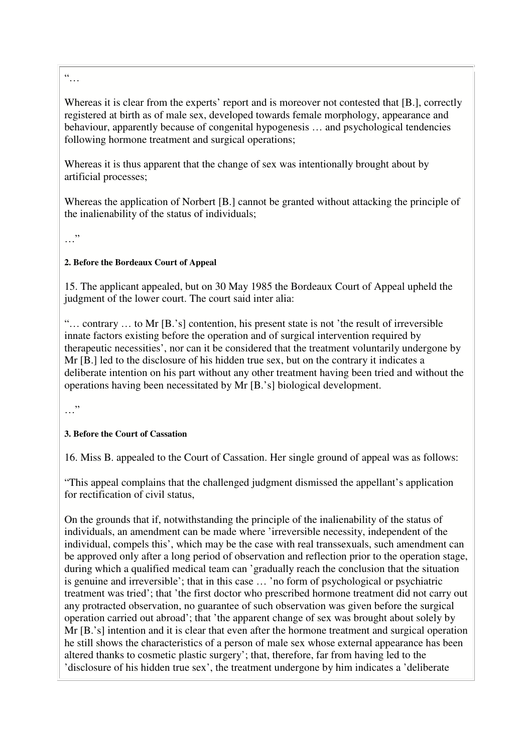### $\frac{1}{2}$

Whereas it is clear from the experts' report and is moreover not contested that [B.], correctly registered at birth as of male sex, developed towards female morphology, appearance and behaviour, apparently because of congenital hypogenesis … and psychological tendencies following hormone treatment and surgical operations;

Whereas it is thus apparent that the change of sex was intentionally brought about by artificial processes;

Whereas the application of Norbert [B.] cannot be granted without attacking the principle of the inalienability of the status of individuals;

…"

### **2. Before the Bordeaux Court of Appeal**

15. The applicant appealed, but on 30 May 1985 the Bordeaux Court of Appeal upheld the judgment of the lower court. The court said inter alia:

"… contrary … to Mr [B.'s] contention, his present state is not 'the result of irreversible innate factors existing before the operation and of surgical intervention required by therapeutic necessities', nor can it be considered that the treatment voluntarily undergone by Mr [B.] led to the disclosure of his hidden true sex, but on the contrary it indicates a deliberate intention on his part without any other treatment having been tried and without the operations having been necessitated by Mr [B.'s] biological development.

 $\cdots$ 

### **3. Before the Court of Cassation**

16. Miss B. appealed to the Court of Cassation. Her single ground of appeal was as follows:

"This appeal complains that the challenged judgment dismissed the appellant's application for rectification of civil status,

On the grounds that if, notwithstanding the principle of the inalienability of the status of individuals, an amendment can be made where 'irreversible necessity, independent of the individual, compels this', which may be the case with real transsexuals, such amendment can be approved only after a long period of observation and reflection prior to the operation stage, during which a qualified medical team can 'gradually reach the conclusion that the situation is genuine and irreversible'; that in this case … 'no form of psychological or psychiatric treatment was tried'; that 'the first doctor who prescribed hormone treatment did not carry out any protracted observation, no guarantee of such observation was given before the surgical operation carried out abroad'; that 'the apparent change of sex was brought about solely by Mr [B.'s] intention and it is clear that even after the hormone treatment and surgical operation he still shows the characteristics of a person of male sex whose external appearance has been altered thanks to cosmetic plastic surgery'; that, therefore, far from having led to the 'disclosure of his hidden true sex', the treatment undergone by him indicates a 'deliberate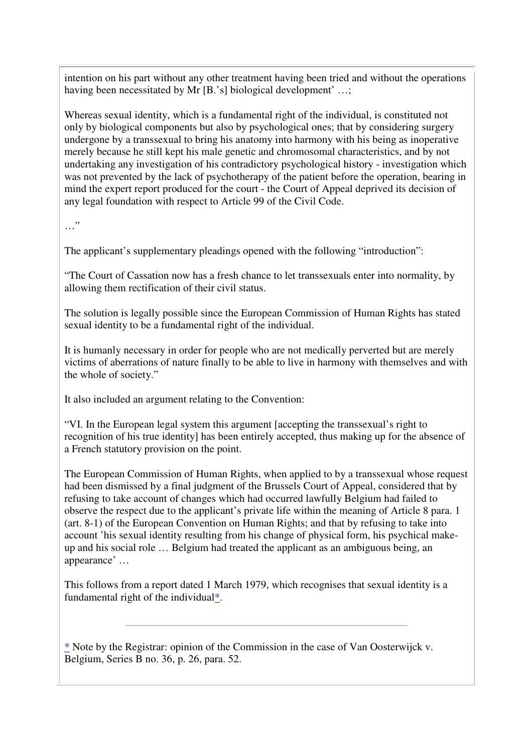intention on his part without any other treatment having been tried and without the operations having been necessitated by Mr [B.'s] biological development' ...;

Whereas sexual identity, which is a fundamental right of the individual, is constituted not only by biological components but also by psychological ones; that by considering surgery undergone by a transsexual to bring his anatomy into harmony with his being as inoperative merely because he still kept his male genetic and chromosomal characteristics, and by not undertaking any investigation of his contradictory psychological history - investigation which was not prevented by the lack of psychotherapy of the patient before the operation, bearing in mind the expert report produced for the court - the Court of Appeal deprived its decision of any legal foundation with respect to Article 99 of the Civil Code.

…"

The applicant's supplementary pleadings opened with the following "introduction":

"The Court of Cassation now has a fresh chance to let transsexuals enter into normality, by allowing them rectification of their civil status.

The solution is legally possible since the European Commission of Human Rights has stated sexual identity to be a fundamental right of the individual.

It is humanly necessary in order for people who are not medically perverted but are merely victims of aberrations of nature finally to be able to live in harmony with themselves and with the whole of society."

It also included an argument relating to the Convention:

"VI. In the European legal system this argument [accepting the transsexual's right to recognition of his true identity] has been entirely accepted, thus making up for the absence of a French statutory provision on the point.

The European Commission of Human Rights, when applied to by a transsexual whose request had been dismissed by a final judgment of the Brussels Court of Appeal, considered that by refusing to take account of changes which had occurred lawfully Belgium had failed to observe the respect due to the applicant's private life within the meaning of Article 8 para. 1 (art. 8-1) of the European Convention on Human Rights; and that by refusing to take into account 'his sexual identity resulting from his change of physical form, his psychical makeup and his social role … Belgium had treated the applicant as an ambiguous being, an appearance' …

This follows from a report dated 1 March 1979, which recognises that sexual identity is a fundamental right of the individual\*.

\* Note by the Registrar: opinion of the Commission in the case of Van Oosterwijck v. Belgium, Series B no. 36, p. 26, para. 52.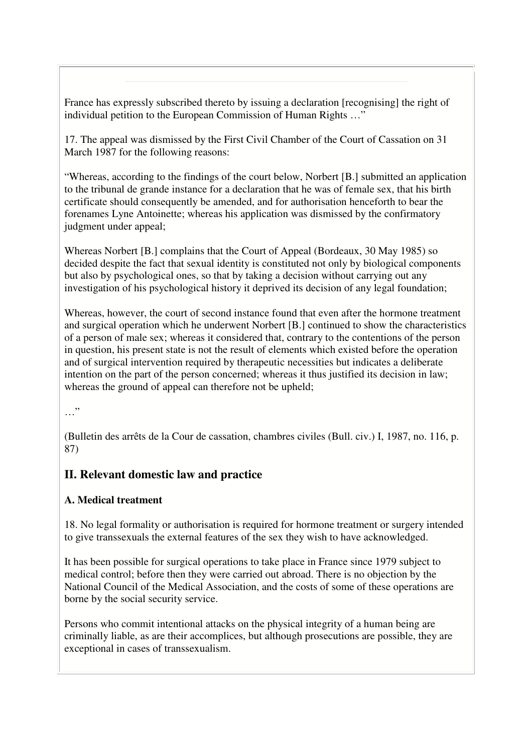France has expressly subscribed thereto by issuing a declaration [recognising] the right of individual petition to the European Commission of Human Rights …"

17. The appeal was dismissed by the First Civil Chamber of the Court of Cassation on 31 March 1987 for the following reasons:

"Whereas, according to the findings of the court below, Norbert [B.] submitted an application to the tribunal de grande instance for a declaration that he was of female sex, that his birth certificate should consequently be amended, and for authorisation henceforth to bear the forenames Lyne Antoinette; whereas his application was dismissed by the confirmatory judgment under appeal;

Whereas Norbert [B.] complains that the Court of Appeal (Bordeaux, 30 May 1985) so decided despite the fact that sexual identity is constituted not only by biological components but also by psychological ones, so that by taking a decision without carrying out any investigation of his psychological history it deprived its decision of any legal foundation;

Whereas, however, the court of second instance found that even after the hormone treatment and surgical operation which he underwent Norbert [B.] continued to show the characteristics of a person of male sex; whereas it considered that, contrary to the contentions of the person in question, his present state is not the result of elements which existed before the operation and of surgical intervention required by therapeutic necessities but indicates a deliberate intention on the part of the person concerned; whereas it thus justified its decision in law; whereas the ground of appeal can therefore not be upheld;

…"

(Bulletin des arrêts de la Cour de cassation, chambres civiles (Bull. civ.) I, 1987, no. 116, p. 87)

# **II. Relevant domestic law and practice**

## **A. Medical treatment**

18. No legal formality or authorisation is required for hormone treatment or surgery intended to give transsexuals the external features of the sex they wish to have acknowledged.

It has been possible for surgical operations to take place in France since 1979 subject to medical control; before then they were carried out abroad. There is no objection by the National Council of the Medical Association, and the costs of some of these operations are borne by the social security service.

Persons who commit intentional attacks on the physical integrity of a human being are criminally liable, as are their accomplices, but although prosecutions are possible, they are exceptional in cases of transsexualism.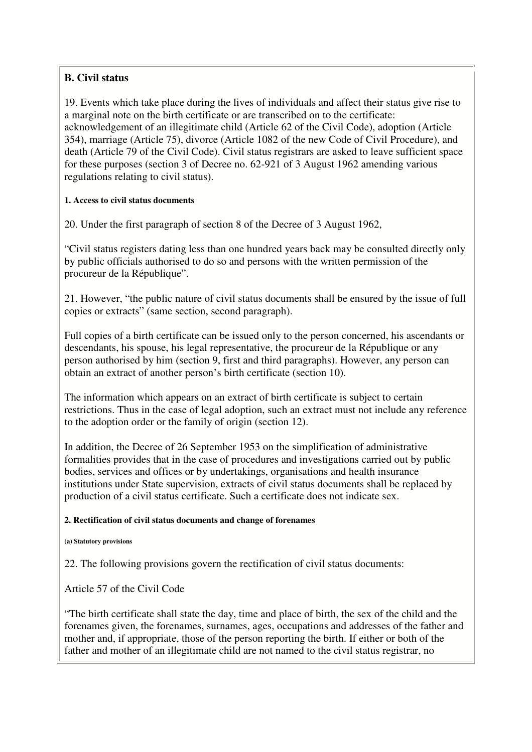## **B. Civil status**

19. Events which take place during the lives of individuals and affect their status give rise to a marginal note on the birth certificate or are transcribed on to the certificate: acknowledgement of an illegitimate child (Article 62 of the Civil Code), adoption (Article 354), marriage (Article 75), divorce (Article 1082 of the new Code of Civil Procedure), and death (Article 79 of the Civil Code). Civil status registrars are asked to leave sufficient space for these purposes (section 3 of Decree no. 62-921 of 3 August 1962 amending various regulations relating to civil status).

### **1. Access to civil status documents**

20. Under the first paragraph of section 8 of the Decree of 3 August 1962,

"Civil status registers dating less than one hundred years back may be consulted directly only by public officials authorised to do so and persons with the written permission of the procureur de la République".

21. However, "the public nature of civil status documents shall be ensured by the issue of full copies or extracts" (same section, second paragraph).

Full copies of a birth certificate can be issued only to the person concerned, his ascendants or descendants, his spouse, his legal representative, the procureur de la République or any person authorised by him (section 9, first and third paragraphs). However, any person can obtain an extract of another person's birth certificate (section 10).

The information which appears on an extract of birth certificate is subject to certain restrictions. Thus in the case of legal adoption, such an extract must not include any reference to the adoption order or the family of origin (section 12).

In addition, the Decree of 26 September 1953 on the simplification of administrative formalities provides that in the case of procedures and investigations carried out by public bodies, services and offices or by undertakings, organisations and health insurance institutions under State supervision, extracts of civil status documents shall be replaced by production of a civil status certificate. Such a certificate does not indicate sex.

### **2. Rectification of civil status documents and change of forenames**

#### **(a) Statutory provisions**

22. The following provisions govern the rectification of civil status documents:

Article 57 of the Civil Code

"The birth certificate shall state the day, time and place of birth, the sex of the child and the forenames given, the forenames, surnames, ages, occupations and addresses of the father and mother and, if appropriate, those of the person reporting the birth. If either or both of the father and mother of an illegitimate child are not named to the civil status registrar, no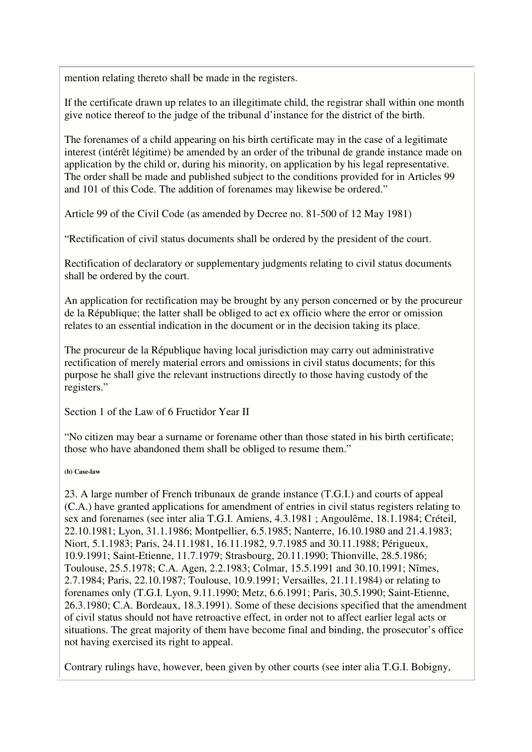mention relating thereto shall be made in the registers.

If the certificate drawn up relates to an illegitimate child, the registrar shall within one month give notice thereof to the judge of the tribunal d'instance for the district of the birth.

The forenames of a child appearing on his birth certificate may in the case of a legitimate interest (intérêt légitime) be amended by an order of the tribunal de grande instance made on application by the child or, during his minority, on application by his legal representative. The order shall be made and published subject to the conditions provided for in Articles 99 and 101 of this Code. The addition of forenames may likewise be ordered."

Article 99 of the Civil Code (as amended by Decree no. 81-500 of 12 May 1981)

"Rectification of civil status documents shall be ordered by the president of the court.

Rectification of declaratory or supplementary judgments relating to civil status documents shall be ordered by the court.

An application for rectification may be brought by any person concerned or by the procureur de la République; the latter shall be obliged to act ex officio where the error or omission relates to an essential indication in the document or in the decision taking its place.

The procureur de la République having local jurisdiction may carry out administrative rectification of merely material errors and omissions in civil status documents; for this purpose he shall give the relevant instructions directly to those having custody of the registers."

Section 1 of the Law of 6 Fructidor Year II

"No citizen may bear a surname or forename other than those stated in his birth certificate; those who have abandoned them shall be obliged to resume them."

#### **(b) Case-law**

23. A large number of French tribunaux de grande instance (T.G.I.) and courts of appeal (C.A.) have granted applications for amendment of entries in civil status registers relating to sex and forenames (see inter alia T.G.I. Amiens, 4.3.1981 ; Angoulême, 18.1.1984; Créteil, 22.10.1981; Lyon, 31.1.1986; Montpellier, 6.5.1985; Nanterre, 16.10.1980 and 21.4.1983; Niort, 5.1.1983; Paris, 24.11.1981, 16.11.1982, 9.7.1985 and 30.11.1988; Périgueux, 10.9.1991; Saint-Etienne, 11.7.1979; Strasbourg, 20.11.1990; Thionville, 28.5.1986; Toulouse, 25.5.1978; C.A. Agen, 2.2.1983; Colmar, 15.5.1991 and 30.10.1991; Nîmes, 2.7.1984; Paris, 22.10.1987; Toulouse, 10.9.1991; Versailles, 21.11.1984) or relating to forenames only (T.G.I. Lyon, 9.11.1990; Metz, 6.6.1991; Paris, 30.5.1990; Saint-Etienne, 26.3.1980; C.A. Bordeaux, 18.3.1991). Some of these decisions specified that the amendment of civil status should not have retroactive effect, in order not to affect earlier legal acts or situations. The great majority of them have become final and binding, the prosecutor's office not having exercised its right to appeal.

Contrary rulings have, however, been given by other courts (see inter alia T.G.I. Bobigny,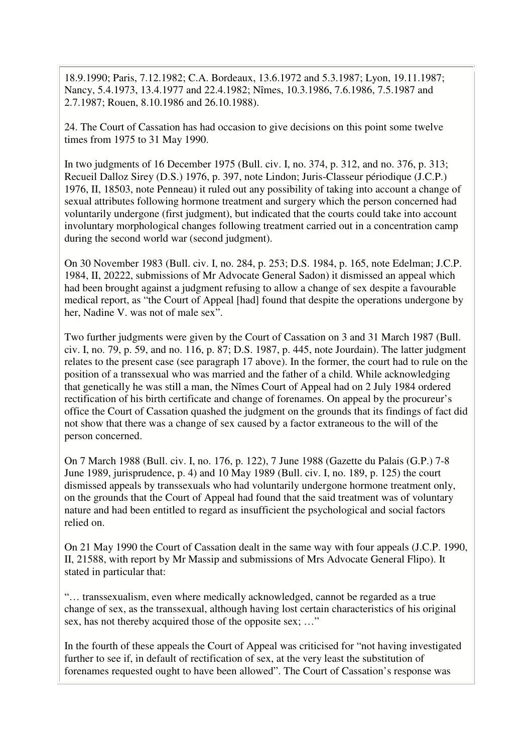18.9.1990; Paris, 7.12.1982; C.A. Bordeaux, 13.6.1972 and 5.3.1987; Lyon, 19.11.1987; Nancy, 5.4.1973, 13.4.1977 and 22.4.1982; Nîmes, 10.3.1986, 7.6.1986, 7.5.1987 and 2.7.1987; Rouen, 8.10.1986 and 26.10.1988).

24. The Court of Cassation has had occasion to give decisions on this point some twelve times from 1975 to 31 May 1990.

In two judgments of 16 December 1975 (Bull. civ. I, no. 374, p. 312, and no. 376, p. 313; Recueil Dalloz Sirey (D.S.) 1976, p. 397, note Lindon; Juris-Classeur périodique (J.C.P.) 1976, II, 18503, note Penneau) it ruled out any possibility of taking into account a change of sexual attributes following hormone treatment and surgery which the person concerned had voluntarily undergone (first judgment), but indicated that the courts could take into account involuntary morphological changes following treatment carried out in a concentration camp during the second world war (second judgment).

On 30 November 1983 (Bull. civ. I, no. 284, p. 253; D.S. 1984, p. 165, note Edelman; J.C.P. 1984, II, 20222, submissions of Mr Advocate General Sadon) it dismissed an appeal which had been brought against a judgment refusing to allow a change of sex despite a favourable medical report, as "the Court of Appeal [had] found that despite the operations undergone by her, Nadine V. was not of male sex".

Two further judgments were given by the Court of Cassation on 3 and 31 March 1987 (Bull. civ. I, no. 79, p. 59, and no. 116, p. 87; D.S. 1987, p. 445, note Jourdain). The latter judgment relates to the present case (see paragraph 17 above). In the former, the court had to rule on the position of a transsexual who was married and the father of a child. While acknowledging that genetically he was still a man, the Nîmes Court of Appeal had on 2 July 1984 ordered rectification of his birth certificate and change of forenames. On appeal by the procureur's office the Court of Cassation quashed the judgment on the grounds that its findings of fact did not show that there was a change of sex caused by a factor extraneous to the will of the person concerned.

On 7 March 1988 (Bull. civ. I, no. 176, p. 122), 7 June 1988 (Gazette du Palais (G.P.) 7-8 June 1989, jurisprudence, p. 4) and 10 May 1989 (Bull. civ. I, no. 189, p. 125) the court dismissed appeals by transsexuals who had voluntarily undergone hormone treatment only, on the grounds that the Court of Appeal had found that the said treatment was of voluntary nature and had been entitled to regard as insufficient the psychological and social factors relied on.

On 21 May 1990 the Court of Cassation dealt in the same way with four appeals (J.C.P. 1990, II, 21588, with report by Mr Massip and submissions of Mrs Advocate General Flipo). It stated in particular that:

"… transsexualism, even where medically acknowledged, cannot be regarded as a true change of sex, as the transsexual, although having lost certain characteristics of his original sex, has not thereby acquired those of the opposite sex; ..."

In the fourth of these appeals the Court of Appeal was criticised for "not having investigated further to see if, in default of rectification of sex, at the very least the substitution of forenames requested ought to have been allowed". The Court of Cassation's response was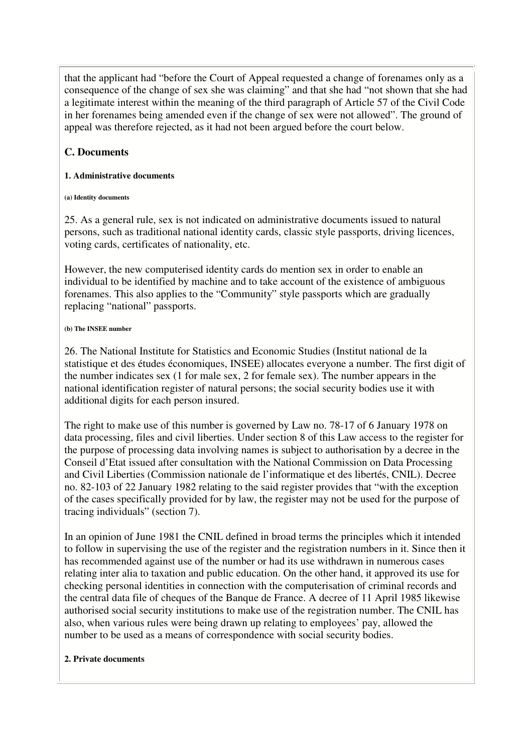that the applicant had "before the Court of Appeal requested a change of forenames only as a consequence of the change of sex she was claiming" and that she had "not shown that she had a legitimate interest within the meaning of the third paragraph of Article 57 of the Civil Code in her forenames being amended even if the change of sex were not allowed". The ground of appeal was therefore rejected, as it had not been argued before the court below.

### **C. Documents**

#### **1. Administrative documents**

#### **(a) Identity documents**

25. As a general rule, sex is not indicated on administrative documents issued to natural persons, such as traditional national identity cards, classic style passports, driving licences, voting cards, certificates of nationality, etc.

However, the new computerised identity cards do mention sex in order to enable an individual to be identified by machine and to take account of the existence of ambiguous forenames. This also applies to the "Community" style passports which are gradually replacing "national" passports.

#### **(b) The INSEE number**

26. The National Institute for Statistics and Economic Studies (Institut national de la statistique et des études économiques, INSEE) allocates everyone a number. The first digit of the number indicates sex (1 for male sex, 2 for female sex). The number appears in the national identification register of natural persons; the social security bodies use it with additional digits for each person insured.

The right to make use of this number is governed by Law no. 78-17 of 6 January 1978 on data processing, files and civil liberties. Under section 8 of this Law access to the register for the purpose of processing data involving names is subject to authorisation by a decree in the Conseil d'Etat issued after consultation with the National Commission on Data Processing and Civil Liberties (Commission nationale de l'informatique et des libertés, CNIL). Decree no. 82-103 of 22 January 1982 relating to the said register provides that "with the exception of the cases specifically provided for by law, the register may not be used for the purpose of tracing individuals" (section 7).

In an opinion of June 1981 the CNIL defined in broad terms the principles which it intended to follow in supervising the use of the register and the registration numbers in it. Since then it has recommended against use of the number or had its use withdrawn in numerous cases relating inter alia to taxation and public education. On the other hand, it approved its use for checking personal identities in connection with the computerisation of criminal records and the central data file of cheques of the Banque de France. A decree of 11 April 1985 likewise authorised social security institutions to make use of the registration number. The CNIL has also, when various rules were being drawn up relating to employees' pay, allowed the number to be used as a means of correspondence with social security bodies.

#### **2. Private documents**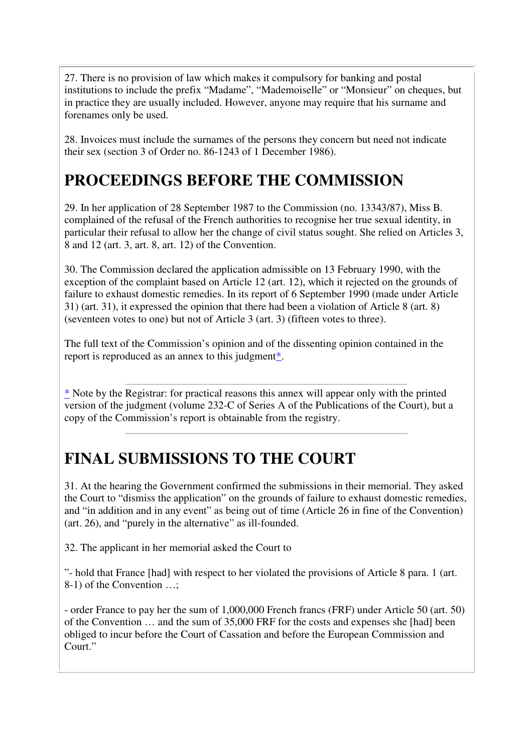27. There is no provision of law which makes it compulsory for banking and postal institutions to include the prefix "Madame", "Mademoiselle" or "Monsieur" on cheques, but in practice they are usually included. However, anyone may require that his surname and forenames only be used.

28. Invoices must include the surnames of the persons they concern but need not indicate their sex (section 3 of Order no. 86-1243 of 1 December 1986).

# **PROCEEDINGS BEFORE THE COMMISSION**

29. In her application of 28 September 1987 to the Commission (no. 13343/87), Miss B. complained of the refusal of the French authorities to recognise her true sexual identity, in particular their refusal to allow her the change of civil status sought. She relied on Articles 3, 8 and 12 (art. 3, art. 8, art. 12) of the Convention.

30. The Commission declared the application admissible on 13 February 1990, with the exception of the complaint based on Article 12 (art. 12), which it rejected on the grounds of failure to exhaust domestic remedies. In its report of 6 September 1990 (made under Article 31) (art. 31), it expressed the opinion that there had been a violation of Article 8 (art. 8) (seventeen votes to one) but not of Article 3 (art. 3) (fifteen votes to three).

The full text of the Commission's opinion and of the dissenting opinion contained in the report is reproduced as an annex to this judgment\*.

\* Note by the Registrar: for practical reasons this annex will appear only with the printed version of the judgment (volume 232-C of Series A of the Publications of the Court), but a copy of the Commission's report is obtainable from the registry.

# **FINAL SUBMISSIONS TO THE COURT**

31. At the hearing the Government confirmed the submissions in their memorial. They asked the Court to "dismiss the application" on the grounds of failure to exhaust domestic remedies, and "in addition and in any event" as being out of time (Article 26 in fine of the Convention) (art. 26), and "purely in the alternative" as ill-founded.

32. The applicant in her memorial asked the Court to

"- hold that France [had] with respect to her violated the provisions of Article 8 para. 1 (art. 8-1) of the Convention …;

- order France to pay her the sum of 1,000,000 French francs (FRF) under Article 50 (art. 50) of the Convention … and the sum of 35,000 FRF for the costs and expenses she [had] been obliged to incur before the Court of Cassation and before the European Commission and Court."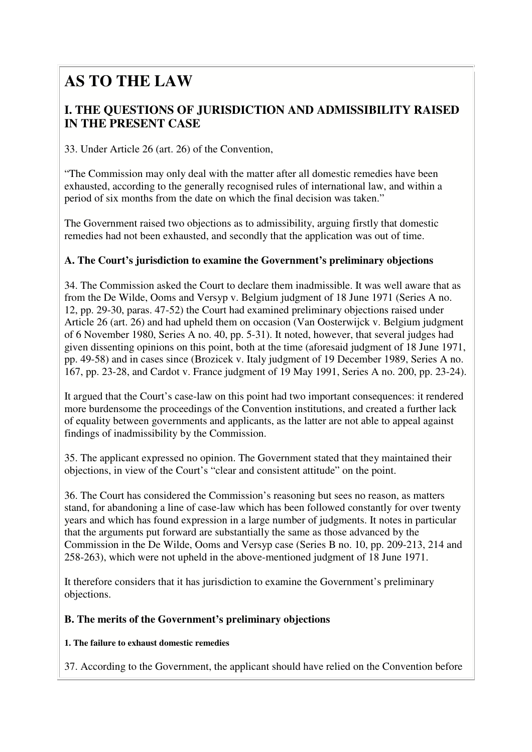# **AS TO THE LAW**

# **I. THE QUESTIONS OF JURISDICTION AND ADMISSIBILITY RAISED IN THE PRESENT CASE**

33. Under Article 26 (art. 26) of the Convention,

"The Commission may only deal with the matter after all domestic remedies have been exhausted, according to the generally recognised rules of international law, and within a period of six months from the date on which the final decision was taken."

The Government raised two objections as to admissibility, arguing firstly that domestic remedies had not been exhausted, and secondly that the application was out of time.

## **A. The Court's jurisdiction to examine the Government's preliminary objections**

34. The Commission asked the Court to declare them inadmissible. It was well aware that as from the De Wilde, Ooms and Versyp v. Belgium judgment of 18 June 1971 (Series A no. 12, pp. 29-30, paras. 47-52) the Court had examined preliminary objections raised under Article 26 (art. 26) and had upheld them on occasion (Van Oosterwijck v. Belgium judgment of 6 November 1980, Series A no. 40, pp. 5-31). It noted, however, that several judges had given dissenting opinions on this point, both at the time (aforesaid judgment of 18 June 1971, pp. 49-58) and in cases since (Brozicek v. Italy judgment of 19 December 1989, Series A no. 167, pp. 23-28, and Cardot v. France judgment of 19 May 1991, Series A no. 200, pp. 23-24).

It argued that the Court's case-law on this point had two important consequences: it rendered more burdensome the proceedings of the Convention institutions, and created a further lack of equality between governments and applicants, as the latter are not able to appeal against findings of inadmissibility by the Commission.

35. The applicant expressed no opinion. The Government stated that they maintained their objections, in view of the Court's "clear and consistent attitude" on the point.

36. The Court has considered the Commission's reasoning but sees no reason, as matters stand, for abandoning a line of case-law which has been followed constantly for over twenty years and which has found expression in a large number of judgments. It notes in particular that the arguments put forward are substantially the same as those advanced by the Commission in the De Wilde, Ooms and Versyp case (Series B no. 10, pp. 209-213, 214 and 258-263), which were not upheld in the above-mentioned judgment of 18 June 1971.

It therefore considers that it has jurisdiction to examine the Government's preliminary objections.

### **B. The merits of the Government's preliminary objections**

#### **1. The failure to exhaust domestic remedies**

37. According to the Government, the applicant should have relied on the Convention before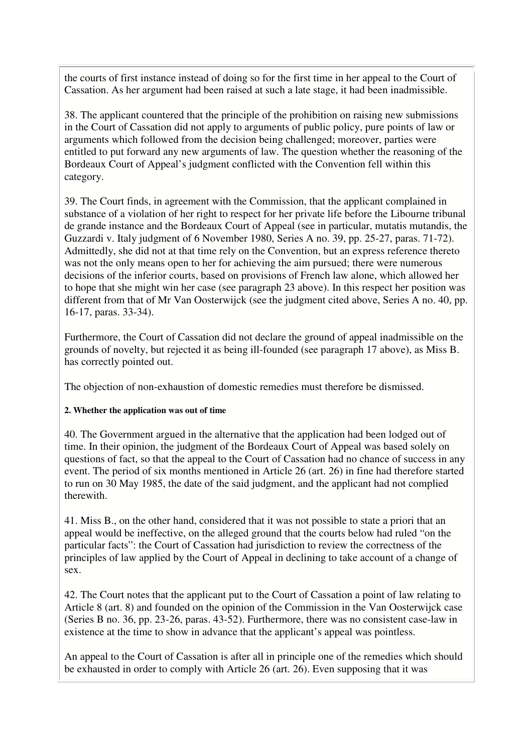the courts of first instance instead of doing so for the first time in her appeal to the Court of Cassation. As her argument had been raised at such a late stage, it had been inadmissible.

38. The applicant countered that the principle of the prohibition on raising new submissions in the Court of Cassation did not apply to arguments of public policy, pure points of law or arguments which followed from the decision being challenged; moreover, parties were entitled to put forward any new arguments of law. The question whether the reasoning of the Bordeaux Court of Appeal's judgment conflicted with the Convention fell within this category.

39. The Court finds, in agreement with the Commission, that the applicant complained in substance of a violation of her right to respect for her private life before the Libourne tribunal de grande instance and the Bordeaux Court of Appeal (see in particular, mutatis mutandis, the Guzzardi v. Italy judgment of 6 November 1980, Series A no. 39, pp. 25-27, paras. 71-72). Admittedly, she did not at that time rely on the Convention, but an express reference thereto was not the only means open to her for achieving the aim pursued; there were numerous decisions of the inferior courts, based on provisions of French law alone, which allowed her to hope that she might win her case (see paragraph 23 above). In this respect her position was different from that of Mr Van Oosterwijck (see the judgment cited above, Series A no. 40, pp. 16-17, paras. 33-34).

Furthermore, the Court of Cassation did not declare the ground of appeal inadmissible on the grounds of novelty, but rejected it as being ill-founded (see paragraph 17 above), as Miss B. has correctly pointed out.

The objection of non-exhaustion of domestic remedies must therefore be dismissed.

#### **2. Whether the application was out of time**

40. The Government argued in the alternative that the application had been lodged out of time. In their opinion, the judgment of the Bordeaux Court of Appeal was based solely on questions of fact, so that the appeal to the Court of Cassation had no chance of success in any event. The period of six months mentioned in Article 26 (art. 26) in fine had therefore started to run on 30 May 1985, the date of the said judgment, and the applicant had not complied therewith.

41. Miss B., on the other hand, considered that it was not possible to state a priori that an appeal would be ineffective, on the alleged ground that the courts below had ruled "on the particular facts": the Court of Cassation had jurisdiction to review the correctness of the principles of law applied by the Court of Appeal in declining to take account of a change of sex.

42. The Court notes that the applicant put to the Court of Cassation a point of law relating to Article 8 (art. 8) and founded on the opinion of the Commission in the Van Oosterwijck case (Series B no. 36, pp. 23-26, paras. 43-52). Furthermore, there was no consistent case-law in existence at the time to show in advance that the applicant's appeal was pointless.

An appeal to the Court of Cassation is after all in principle one of the remedies which should be exhausted in order to comply with Article 26 (art. 26). Even supposing that it was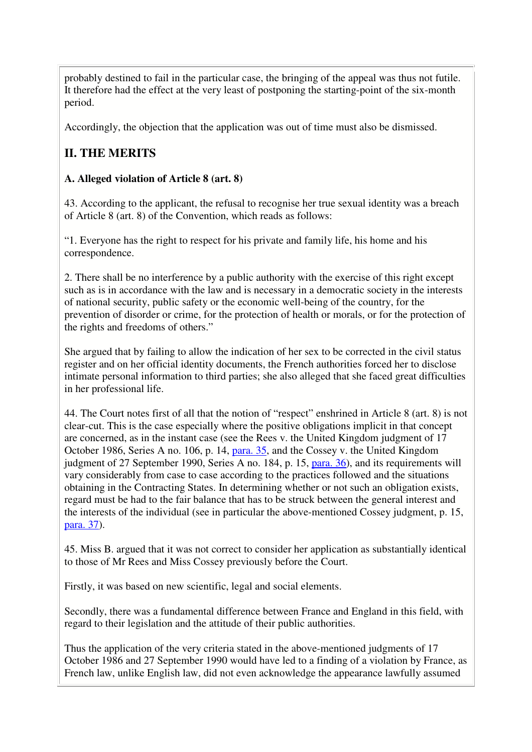probably destined to fail in the particular case, the bringing of the appeal was thus not futile. It therefore had the effect at the very least of postponing the starting-point of the six-month period.

Accordingly, the objection that the application was out of time must also be dismissed.

# **II. THE MERITS**

# **A. Alleged violation of Article 8 (art. 8)**

43. According to the applicant, the refusal to recognise her true sexual identity was a breach of Article 8 (art. 8) of the Convention, which reads as follows:

"1. Everyone has the right to respect for his private and family life, his home and his correspondence.

2. There shall be no interference by a public authority with the exercise of this right except such as is in accordance with the law and is necessary in a democratic society in the interests of national security, public safety or the economic well-being of the country, for the prevention of disorder or crime, for the protection of health or morals, or for the protection of the rights and freedoms of others."

She argued that by failing to allow the indication of her sex to be corrected in the civil status register and on her official identity documents, the French authorities forced her to disclose intimate personal information to third parties; she also alleged that she faced great difficulties in her professional life.

44. The Court notes first of all that the notion of "respect" enshrined in Article 8 (art. 8) is not clear-cut. This is the case especially where the positive obligations implicit in that concept are concerned, as in the instant case (see the Rees v. the United Kingdom judgment of 17 October 1986, Series A no. 106, p. 14, para. 35, and the Cossey v. the United Kingdom judgment of 27 September 1990, Series A no. 184, p. 15, para. 36), and its requirements will vary considerably from case to case according to the practices followed and the situations obtaining in the Contracting States. In determining whether or not such an obligation exists, regard must be had to the fair balance that has to be struck between the general interest and the interests of the individual (see in particular the above-mentioned Cossey judgment, p. 15, para. 37).

45. Miss B. argued that it was not correct to consider her application as substantially identical to those of Mr Rees and Miss Cossey previously before the Court.

Firstly, it was based on new scientific, legal and social elements.

Secondly, there was a fundamental difference between France and England in this field, with regard to their legislation and the attitude of their public authorities.

Thus the application of the very criteria stated in the above-mentioned judgments of 17 October 1986 and 27 September 1990 would have led to a finding of a violation by France, as French law, unlike English law, did not even acknowledge the appearance lawfully assumed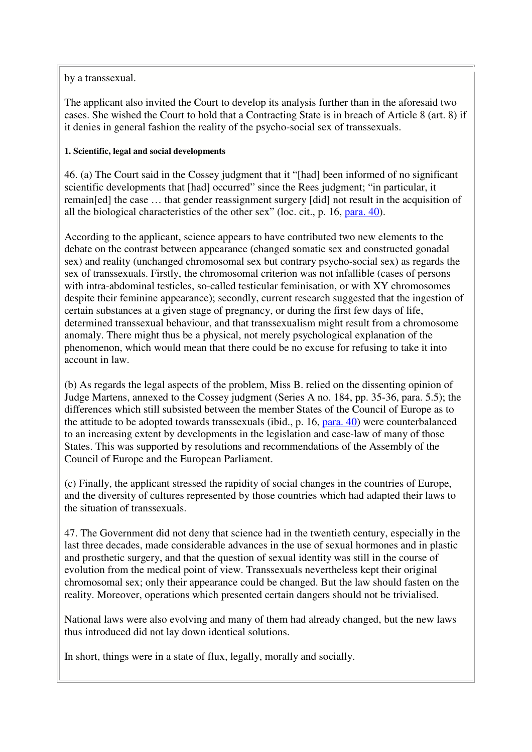### by a transsexual.

The applicant also invited the Court to develop its analysis further than in the aforesaid two cases. She wished the Court to hold that a Contracting State is in breach of Article 8 (art. 8) if it denies in general fashion the reality of the psycho-social sex of transsexuals.

### **1. Scientific, legal and social developments**

46. (a) The Court said in the Cossey judgment that it "[had] been informed of no significant scientific developments that [had] occurred" since the Rees judgment; "in particular, it remain[ed] the case … that gender reassignment surgery [did] not result in the acquisition of all the biological characteristics of the other sex" (loc. cit., p. 16, para. 40).

According to the applicant, science appears to have contributed two new elements to the debate on the contrast between appearance (changed somatic sex and constructed gonadal sex) and reality (unchanged chromosomal sex but contrary psycho-social sex) as regards the sex of transsexuals. Firstly, the chromosomal criterion was not infallible (cases of persons with intra-abdominal testicles, so-called testicular feminisation, or with XY chromosomes despite their feminine appearance); secondly, current research suggested that the ingestion of certain substances at a given stage of pregnancy, or during the first few days of life, determined transsexual behaviour, and that transsexualism might result from a chromosome anomaly. There might thus be a physical, not merely psychological explanation of the phenomenon, which would mean that there could be no excuse for refusing to take it into account in law.

(b) As regards the legal aspects of the problem, Miss B. relied on the dissenting opinion of Judge Martens, annexed to the Cossey judgment (Series A no. 184, pp. 35-36, para. 5.5); the differences which still subsisted between the member States of the Council of Europe as to the attitude to be adopted towards transsexuals (ibid., p. 16, para. 40) were counterbalanced to an increasing extent by developments in the legislation and case-law of many of those States. This was supported by resolutions and recommendations of the Assembly of the Council of Europe and the European Parliament.

(c) Finally, the applicant stressed the rapidity of social changes in the countries of Europe, and the diversity of cultures represented by those countries which had adapted their laws to the situation of transsexuals.

47. The Government did not deny that science had in the twentieth century, especially in the last three decades, made considerable advances in the use of sexual hormones and in plastic and prosthetic surgery, and that the question of sexual identity was still in the course of evolution from the medical point of view. Transsexuals nevertheless kept their original chromosomal sex; only their appearance could be changed. But the law should fasten on the reality. Moreover, operations which presented certain dangers should not be trivialised.

National laws were also evolving and many of them had already changed, but the new laws thus introduced did not lay down identical solutions.

In short, things were in a state of flux, legally, morally and socially.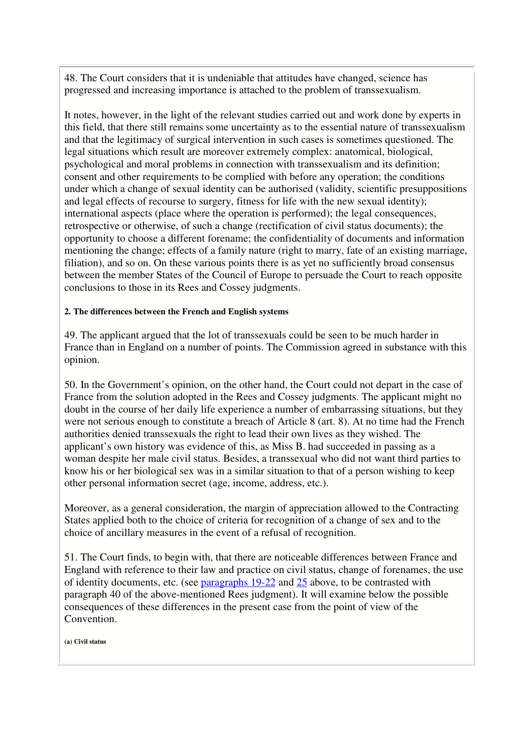48. The Court considers that it is undeniable that attitudes have changed, science has progressed and increasing importance is attached to the problem of transsexualism.

It notes, however, in the light of the relevant studies carried out and work done by experts in this field, that there still remains some uncertainty as to the essential nature of transsexualism and that the legitimacy of surgical intervention in such cases is sometimes questioned. The legal situations which result are moreover extremely complex: anatomical, biological, psychological and moral problems in connection with transsexualism and its definition; consent and other requirements to be complied with before any operation; the conditions under which a change of sexual identity can be authorised (validity, scientific presuppositions and legal effects of recourse to surgery, fitness for life with the new sexual identity); international aspects (place where the operation is performed); the legal consequences, retrospective or otherwise, of such a change (rectification of civil status documents); the opportunity to choose a different forename; the confidentiality of documents and information mentioning the change; effects of a family nature (right to marry, fate of an existing marriage, filiation), and so on. On these various points there is as yet no sufficiently broad consensus between the member States of the Council of Europe to persuade the Court to reach opposite conclusions to those in its Rees and Cossey judgments.

#### **2. The differences between the French and English systems**

49. The applicant argued that the lot of transsexuals could be seen to be much harder in France than in England on a number of points. The Commission agreed in substance with this opinion.

50. In the Government's opinion, on the other hand, the Court could not depart in the case of France from the solution adopted in the Rees and Cossey judgments. The applicant might no doubt in the course of her daily life experience a number of embarrassing situations, but they were not serious enough to constitute a breach of Article 8 (art. 8). At no time had the French authorities denied transsexuals the right to lead their own lives as they wished. The applicant's own history was evidence of this, as Miss B. had succeeded in passing as a woman despite her male civil status. Besides, a transsexual who did not want third parties to know his or her biological sex was in a similar situation to that of a person wishing to keep other personal information secret (age, income, address, etc.).

Moreover, as a general consideration, the margin of appreciation allowed to the Contracting States applied both to the choice of criteria for recognition of a change of sex and to the choice of ancillary measures in the event of a refusal of recognition.

51. The Court finds, to begin with, that there are noticeable differences between France and England with reference to their law and practice on civil status, change of forenames, the use of identity documents, etc. (see paragraphs 19-22 and 25 above, to be contrasted with paragraph 40 of the above-mentioned Rees judgment). It will examine below the possible consequences of these differences in the present case from the point of view of the Convention.

**(a) Civil status**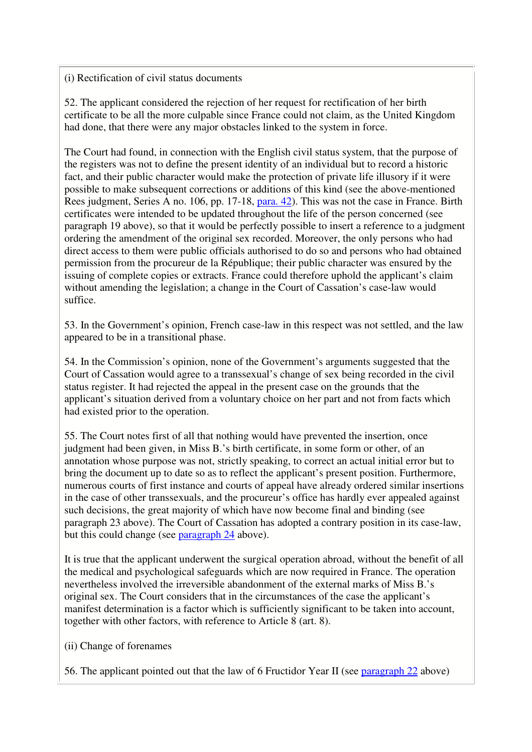## (i) Rectification of civil status documents

52. The applicant considered the rejection of her request for rectification of her birth certificate to be all the more culpable since France could not claim, as the United Kingdom had done, that there were any major obstacles linked to the system in force.

The Court had found, in connection with the English civil status system, that the purpose of the registers was not to define the present identity of an individual but to record a historic fact, and their public character would make the protection of private life illusory if it were possible to make subsequent corrections or additions of this kind (see the above-mentioned Rees judgment, Series A no. 106, pp. 17-18, para. 42). This was not the case in France. Birth certificates were intended to be updated throughout the life of the person concerned (see paragraph 19 above), so that it would be perfectly possible to insert a reference to a judgment ordering the amendment of the original sex recorded. Moreover, the only persons who had direct access to them were public officials authorised to do so and persons who had obtained permission from the procureur de la République; their public character was ensured by the issuing of complete copies or extracts. France could therefore uphold the applicant's claim without amending the legislation; a change in the Court of Cassation's case-law would suffice.

53. In the Government's opinion, French case-law in this respect was not settled, and the law appeared to be in a transitional phase.

54. In the Commission's opinion, none of the Government's arguments suggested that the Court of Cassation would agree to a transsexual's change of sex being recorded in the civil status register. It had rejected the appeal in the present case on the grounds that the applicant's situation derived from a voluntary choice on her part and not from facts which had existed prior to the operation.

55. The Court notes first of all that nothing would have prevented the insertion, once judgment had been given, in Miss B.'s birth certificate, in some form or other, of an annotation whose purpose was not, strictly speaking, to correct an actual initial error but to bring the document up to date so as to reflect the applicant's present position. Furthermore, numerous courts of first instance and courts of appeal have already ordered similar insertions in the case of other transsexuals, and the procureur's office has hardly ever appealed against such decisions, the great majority of which have now become final and binding (see paragraph 23 above). The Court of Cassation has adopted a contrary position in its case-law, but this could change (see paragraph 24 above).

It is true that the applicant underwent the surgical operation abroad, without the benefit of all the medical and psychological safeguards which are now required in France. The operation nevertheless involved the irreversible abandonment of the external marks of Miss B.'s original sex. The Court considers that in the circumstances of the case the applicant's manifest determination is a factor which is sufficiently significant to be taken into account, together with other factors, with reference to Article 8 (art. 8).

(ii) Change of forenames

56. The applicant pointed out that the law of 6 Fructidor Year II (see paragraph 22 above)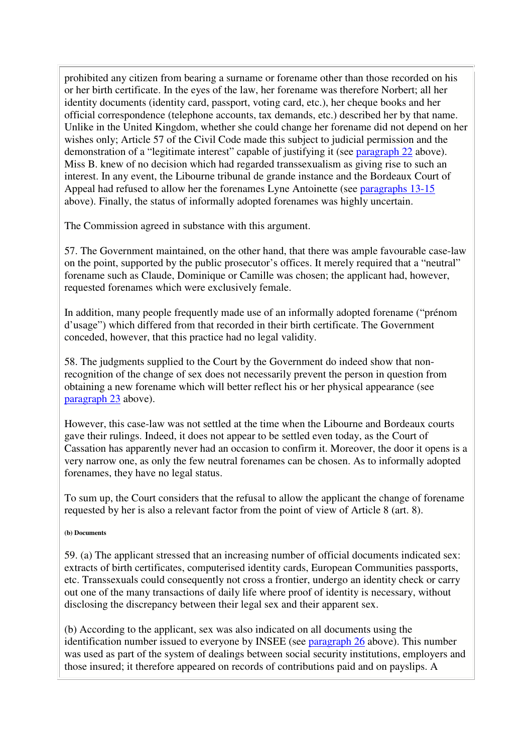prohibited any citizen from bearing a surname or forename other than those recorded on his or her birth certificate. In the eyes of the law, her forename was therefore Norbert; all her identity documents (identity card, passport, voting card, etc.), her cheque books and her official correspondence (telephone accounts, tax demands, etc.) described her by that name. Unlike in the United Kingdom, whether she could change her forename did not depend on her wishes only; Article 57 of the Civil Code made this subject to judicial permission and the demonstration of a "legitimate interest" capable of justifying it (see paragraph 22 above). Miss B. knew of no decision which had regarded transsexualism as giving rise to such an interest. In any event, the Libourne tribunal de grande instance and the Bordeaux Court of Appeal had refused to allow her the forenames Lyne Antoinette (see paragraphs 13-15 above). Finally, the status of informally adopted forenames was highly uncertain.

The Commission agreed in substance with this argument.

57. The Government maintained, on the other hand, that there was ample favourable case-law on the point, supported by the public prosecutor's offices. It merely required that a "neutral" forename such as Claude, Dominique or Camille was chosen; the applicant had, however, requested forenames which were exclusively female.

In addition, many people frequently made use of an informally adopted forename ("prénom d'usage") which differed from that recorded in their birth certificate. The Government conceded, however, that this practice had no legal validity.

58. The judgments supplied to the Court by the Government do indeed show that nonrecognition of the change of sex does not necessarily prevent the person in question from obtaining a new forename which will better reflect his or her physical appearance (see paragraph 23 above).

However, this case-law was not settled at the time when the Libourne and Bordeaux courts gave their rulings. Indeed, it does not appear to be settled even today, as the Court of Cassation has apparently never had an occasion to confirm it. Moreover, the door it opens is a very narrow one, as only the few neutral forenames can be chosen. As to informally adopted forenames, they have no legal status.

To sum up, the Court considers that the refusal to allow the applicant the change of forename requested by her is also a relevant factor from the point of view of Article 8 (art. 8).

#### **(b) Documents**

59. (a) The applicant stressed that an increasing number of official documents indicated sex: extracts of birth certificates, computerised identity cards, European Communities passports, etc. Transsexuals could consequently not cross a frontier, undergo an identity check or carry out one of the many transactions of daily life where proof of identity is necessary, without disclosing the discrepancy between their legal sex and their apparent sex.

(b) According to the applicant, sex was also indicated on all documents using the identification number issued to everyone by INSEE (see paragraph 26 above). This number was used as part of the system of dealings between social security institutions, employers and those insured; it therefore appeared on records of contributions paid and on payslips. A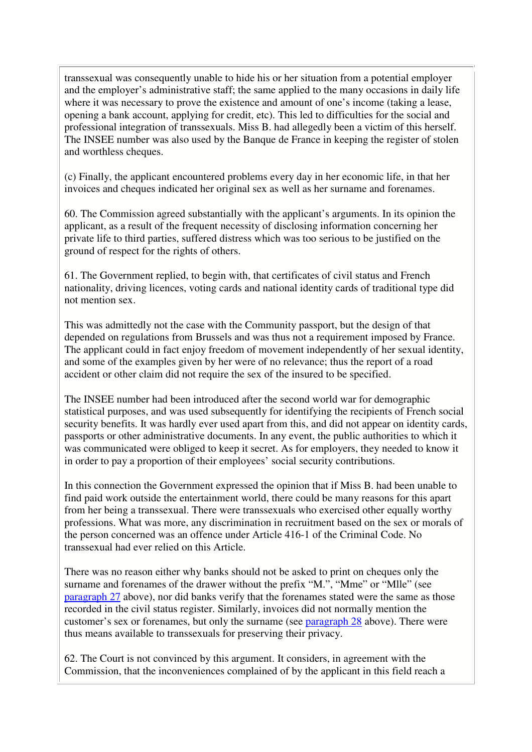transsexual was consequently unable to hide his or her situation from a potential employer and the employer's administrative staff; the same applied to the many occasions in daily life where it was necessary to prove the existence and amount of one's income (taking a lease, opening a bank account, applying for credit, etc). This led to difficulties for the social and professional integration of transsexuals. Miss B. had allegedly been a victim of this herself. The INSEE number was also used by the Banque de France in keeping the register of stolen and worthless cheques.

(c) Finally, the applicant encountered problems every day in her economic life, in that her invoices and cheques indicated her original sex as well as her surname and forenames.

60. The Commission agreed substantially with the applicant's arguments. In its opinion the applicant, as a result of the frequent necessity of disclosing information concerning her private life to third parties, suffered distress which was too serious to be justified on the ground of respect for the rights of others.

61. The Government replied, to begin with, that certificates of civil status and French nationality, driving licences, voting cards and national identity cards of traditional type did not mention sex.

This was admittedly not the case with the Community passport, but the design of that depended on regulations from Brussels and was thus not a requirement imposed by France. The applicant could in fact enjoy freedom of movement independently of her sexual identity, and some of the examples given by her were of no relevance; thus the report of a road accident or other claim did not require the sex of the insured to be specified.

The INSEE number had been introduced after the second world war for demographic statistical purposes, and was used subsequently for identifying the recipients of French social security benefits. It was hardly ever used apart from this, and did not appear on identity cards, passports or other administrative documents. In any event, the public authorities to which it was communicated were obliged to keep it secret. As for employers, they needed to know it in order to pay a proportion of their employees' social security contributions.

In this connection the Government expressed the opinion that if Miss B. had been unable to find paid work outside the entertainment world, there could be many reasons for this apart from her being a transsexual. There were transsexuals who exercised other equally worthy professions. What was more, any discrimination in recruitment based on the sex or morals of the person concerned was an offence under Article 416-1 of the Criminal Code. No transsexual had ever relied on this Article.

There was no reason either why banks should not be asked to print on cheques only the surname and forenames of the drawer without the prefix "M.", "Mme" or "Mlle" (see paragraph 27 above), nor did banks verify that the forenames stated were the same as those recorded in the civil status register. Similarly, invoices did not normally mention the customer's sex or forenames, but only the surname (see paragraph 28 above). There were thus means available to transsexuals for preserving their privacy.

62. The Court is not convinced by this argument. It considers, in agreement with the Commission, that the inconveniences complained of by the applicant in this field reach a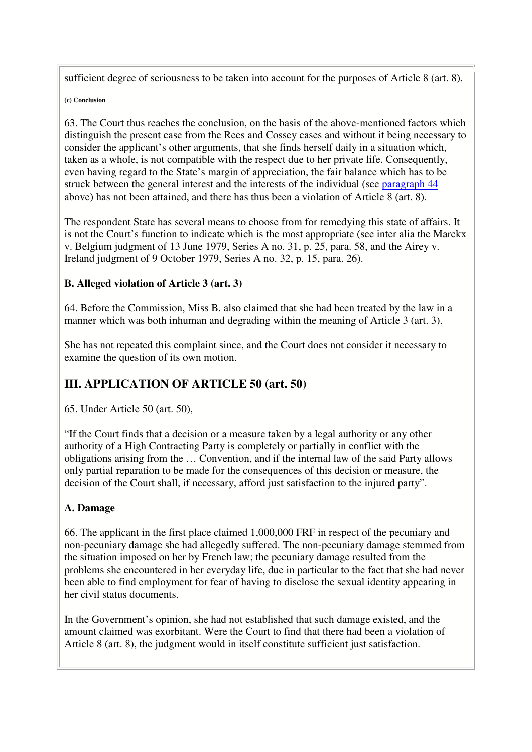sufficient degree of seriousness to be taken into account for the purposes of Article 8 (art. 8).

#### **(c) Conclusion**

63. The Court thus reaches the conclusion, on the basis of the above-mentioned factors which distinguish the present case from the Rees and Cossey cases and without it being necessary to consider the applicant's other arguments, that she finds herself daily in a situation which, taken as a whole, is not compatible with the respect due to her private life. Consequently, even having regard to the State's margin of appreciation, the fair balance which has to be struck between the general interest and the interests of the individual (see paragraph 44 above) has not been attained, and there has thus been a violation of Article 8 (art. 8).

The respondent State has several means to choose from for remedying this state of affairs. It is not the Court's function to indicate which is the most appropriate (see inter alia the Marckx v. Belgium judgment of 13 June 1979, Series A no. 31, p. 25, para. 58, and the Airey v. Ireland judgment of 9 October 1979, Series A no. 32, p. 15, para. 26).

## **B. Alleged violation of Article 3 (art. 3)**

64. Before the Commission, Miss B. also claimed that she had been treated by the law in a manner which was both inhuman and degrading within the meaning of Article 3 (art. 3).

She has not repeated this complaint since, and the Court does not consider it necessary to examine the question of its own motion.

# **III. APPLICATION OF ARTICLE 50 (art. 50)**

65. Under Article 50 (art. 50),

"If the Court finds that a decision or a measure taken by a legal authority or any other authority of a High Contracting Party is completely or partially in conflict with the obligations arising from the … Convention, and if the internal law of the said Party allows only partial reparation to be made for the consequences of this decision or measure, the decision of the Court shall, if necessary, afford just satisfaction to the injured party".

## **A. Damage**

66. The applicant in the first place claimed 1,000,000 FRF in respect of the pecuniary and non-pecuniary damage she had allegedly suffered. The non-pecuniary damage stemmed from the situation imposed on her by French law; the pecuniary damage resulted from the problems she encountered in her everyday life, due in particular to the fact that she had never been able to find employment for fear of having to disclose the sexual identity appearing in her civil status documents.

In the Government's opinion, she had not established that such damage existed, and the amount claimed was exorbitant. Were the Court to find that there had been a violation of Article 8 (art. 8), the judgment would in itself constitute sufficient just satisfaction.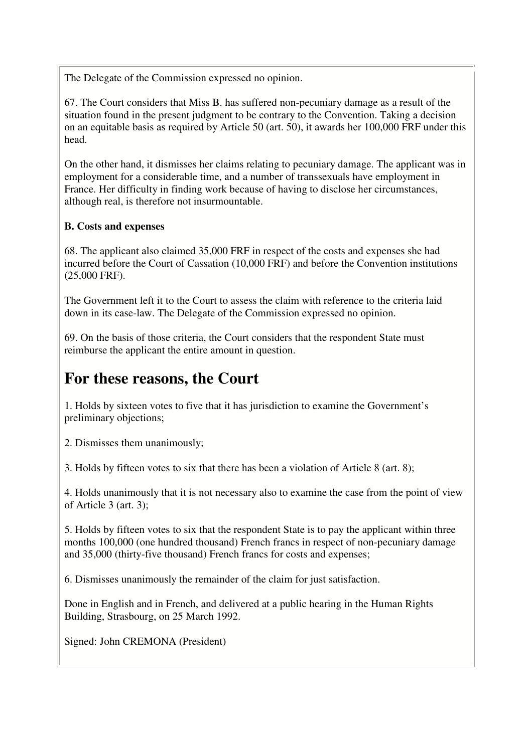The Delegate of the Commission expressed no opinion.

67. The Court considers that Miss B. has suffered non-pecuniary damage as a result of the situation found in the present judgment to be contrary to the Convention. Taking a decision on an equitable basis as required by Article 50 (art. 50), it awards her 100,000 FRF under this head.

On the other hand, it dismisses her claims relating to pecuniary damage. The applicant was in employment for a considerable time, and a number of transsexuals have employment in France. Her difficulty in finding work because of having to disclose her circumstances, although real, is therefore not insurmountable.

## **B. Costs and expenses**

68. The applicant also claimed 35,000 FRF in respect of the costs and expenses she had incurred before the Court of Cassation (10,000 FRF) and before the Convention institutions (25,000 FRF).

The Government left it to the Court to assess the claim with reference to the criteria laid down in its case-law. The Delegate of the Commission expressed no opinion.

69. On the basis of those criteria, the Court considers that the respondent State must reimburse the applicant the entire amount in question.

# **For these reasons, the Court**

1. Holds by sixteen votes to five that it has jurisdiction to examine the Government's preliminary objections;

2. Dismisses them unanimously;

3. Holds by fifteen votes to six that there has been a violation of Article 8 (art. 8);

4. Holds unanimously that it is not necessary also to examine the case from the point of view of Article 3 (art. 3);

5. Holds by fifteen votes to six that the respondent State is to pay the applicant within three months 100,000 (one hundred thousand) French francs in respect of non-pecuniary damage and 35,000 (thirty-five thousand) French francs for costs and expenses;

6. Dismisses unanimously the remainder of the claim for just satisfaction.

Done in English and in French, and delivered at a public hearing in the Human Rights Building, Strasbourg, on 25 March 1992.

Signed: John CREMONA (President)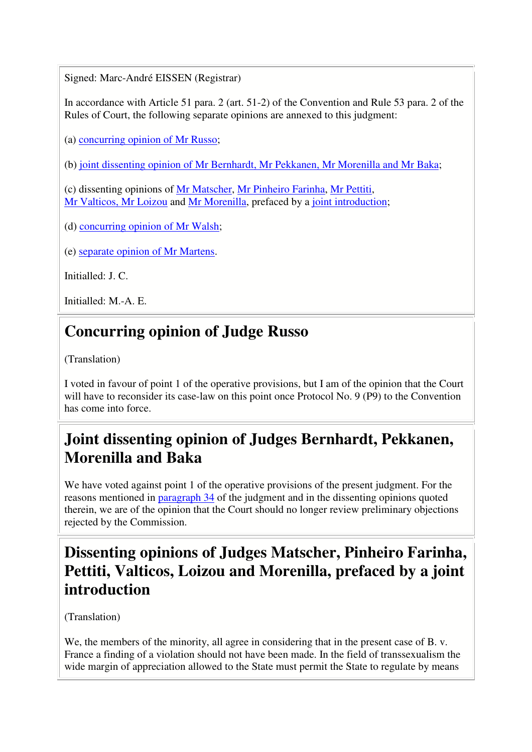Signed: Marc-André EISSEN (Registrar)

In accordance with Article 51 para. 2 (art. 51-2) of the Convention and Rule 53 para. 2 of the Rules of Court, the following separate opinions are annexed to this judgment:

(a) concurring opinion of Mr Russo;

(b) joint dissenting opinion of Mr Bernhardt, Mr Pekkanen, Mr Morenilla and Mr Baka;

(c) dissenting opinions of Mr Matscher, Mr Pinheiro Farinha, Mr Pettiti, Mr Valticos, Mr Loizou and Mr Morenilla, prefaced by a joint introduction;

(d) concurring opinion of Mr Walsh;

(e) separate opinion of Mr Martens.

Initialled: J. C.

Initialled: M.-A. E.

# **Concurring opinion of Judge Russo**

(Translation)

I voted in favour of point 1 of the operative provisions, but I am of the opinion that the Court will have to reconsider its case-law on this point once Protocol No. 9 (P9) to the Convention has come into force.

# **Joint dissenting opinion of Judges Bernhardt, Pekkanen, Morenilla and Baka**

We have voted against point 1 of the operative provisions of the present judgment. For the reasons mentioned in paragraph 34 of the judgment and in the dissenting opinions quoted therein, we are of the opinion that the Court should no longer review preliminary objections rejected by the Commission.

# **Dissenting opinions of Judges Matscher, Pinheiro Farinha, Pettiti, Valticos, Loizou and Morenilla, prefaced by a joint introduction**

(Translation)

We, the members of the minority, all agree in considering that in the present case of B. v. France a finding of a violation should not have been made. In the field of transsexualism the wide margin of appreciation allowed to the State must permit the State to regulate by means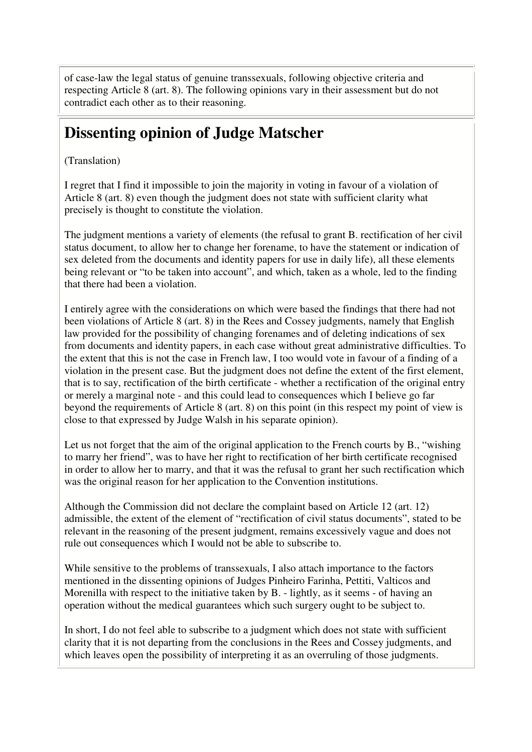of case-law the legal status of genuine transsexuals, following objective criteria and respecting Article 8 (art. 8). The following opinions vary in their assessment but do not contradict each other as to their reasoning.

# **Dissenting opinion of Judge Matscher**

## (Translation)

I regret that I find it impossible to join the majority in voting in favour of a violation of Article 8 (art. 8) even though the judgment does not state with sufficient clarity what precisely is thought to constitute the violation.

The judgment mentions a variety of elements (the refusal to grant B. rectification of her civil status document, to allow her to change her forename, to have the statement or indication of sex deleted from the documents and identity papers for use in daily life), all these elements being relevant or "to be taken into account", and which, taken as a whole, led to the finding that there had been a violation.

I entirely agree with the considerations on which were based the findings that there had not been violations of Article 8 (art. 8) in the Rees and Cossey judgments, namely that English law provided for the possibility of changing forenames and of deleting indications of sex from documents and identity papers, in each case without great administrative difficulties. To the extent that this is not the case in French law, I too would vote in favour of a finding of a violation in the present case. But the judgment does not define the extent of the first element, that is to say, rectification of the birth certificate - whether a rectification of the original entry or merely a marginal note - and this could lead to consequences which I believe go far beyond the requirements of Article 8 (art. 8) on this point (in this respect my point of view is close to that expressed by Judge Walsh in his separate opinion).

Let us not forget that the aim of the original application to the French courts by B., "wishing" to marry her friend", was to have her right to rectification of her birth certificate recognised in order to allow her to marry, and that it was the refusal to grant her such rectification which was the original reason for her application to the Convention institutions.

Although the Commission did not declare the complaint based on Article 12 (art. 12) admissible, the extent of the element of "rectification of civil status documents", stated to be relevant in the reasoning of the present judgment, remains excessively vague and does not rule out consequences which I would not be able to subscribe to.

While sensitive to the problems of transsexuals, I also attach importance to the factors mentioned in the dissenting opinions of Judges Pinheiro Farinha, Pettiti, Valticos and Morenilla with respect to the initiative taken by B. - lightly, as it seems - of having an operation without the medical guarantees which such surgery ought to be subject to.

In short, I do not feel able to subscribe to a judgment which does not state with sufficient clarity that it is not departing from the conclusions in the Rees and Cossey judgments, and which leaves open the possibility of interpreting it as an overruling of those judgments.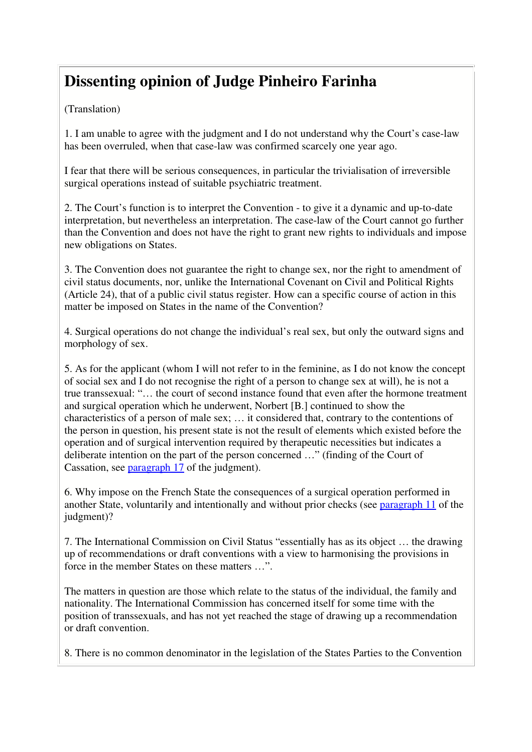# **Dissenting opinion of Judge Pinheiro Farinha**

## (Translation)

1. I am unable to agree with the judgment and I do not understand why the Court's case-law has been overruled, when that case-law was confirmed scarcely one year ago.

I fear that there will be serious consequences, in particular the trivialisation of irreversible surgical operations instead of suitable psychiatric treatment.

2. The Court's function is to interpret the Convention - to give it a dynamic and up-to-date interpretation, but nevertheless an interpretation. The case-law of the Court cannot go further than the Convention and does not have the right to grant new rights to individuals and impose new obligations on States.

3. The Convention does not guarantee the right to change sex, nor the right to amendment of civil status documents, nor, unlike the International Covenant on Civil and Political Rights (Article 24), that of a public civil status register. How can a specific course of action in this matter be imposed on States in the name of the Convention?

4. Surgical operations do not change the individual's real sex, but only the outward signs and morphology of sex.

5. As for the applicant (whom I will not refer to in the feminine, as I do not know the concept of social sex and I do not recognise the right of a person to change sex at will), he is not a true transsexual: "… the court of second instance found that even after the hormone treatment and surgical operation which he underwent, Norbert [B.] continued to show the characteristics of a person of male sex; … it considered that, contrary to the contentions of the person in question, his present state is not the result of elements which existed before the operation and of surgical intervention required by therapeutic necessities but indicates a deliberate intention on the part of the person concerned …" (finding of the Court of Cassation, see paragraph 17 of the judgment).

6. Why impose on the French State the consequences of a surgical operation performed in another State, voluntarily and intentionally and without prior checks (see paragraph 11 of the judgment)?

7. The International Commission on Civil Status "essentially has as its object … the drawing up of recommendations or draft conventions with a view to harmonising the provisions in force in the member States on these matters …".

The matters in question are those which relate to the status of the individual, the family and nationality. The International Commission has concerned itself for some time with the position of transsexuals, and has not yet reached the stage of drawing up a recommendation or draft convention.

8. There is no common denominator in the legislation of the States Parties to the Convention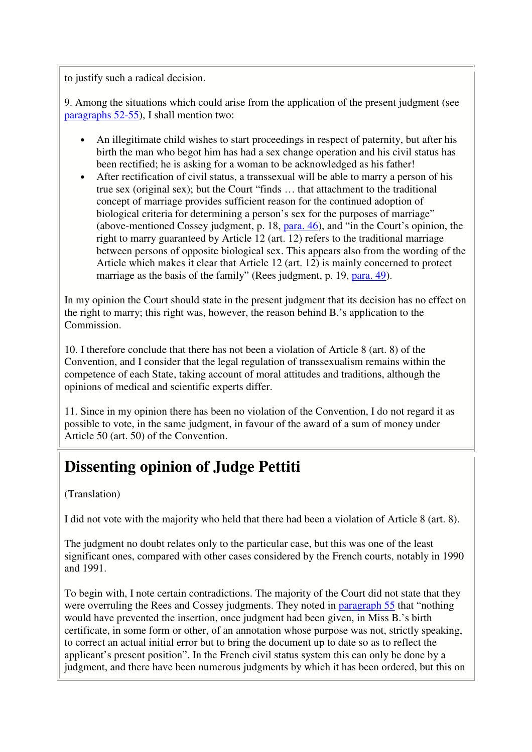to justify such a radical decision.

9. Among the situations which could arise from the application of the present judgment (see paragraphs 52-55), I shall mention two:

- An illegitimate child wishes to start proceedings in respect of paternity, but after his birth the man who begot him has had a sex change operation and his civil status has been rectified; he is asking for a woman to be acknowledged as his father!
- After rectification of civil status, a transsexual will be able to marry a person of his true sex (original sex); but the Court "finds … that attachment to the traditional concept of marriage provides sufficient reason for the continued adoption of biological criteria for determining a person's sex for the purposes of marriage" (above-mentioned Cossey judgment, p. 18, para. 46), and "in the Court's opinion, the right to marry guaranteed by Article 12 (art. 12) refers to the traditional marriage between persons of opposite biological sex. This appears also from the wording of the Article which makes it clear that Article 12 (art. 12) is mainly concerned to protect marriage as the basis of the family" (Rees judgment, p. 19, para. 49).

In my opinion the Court should state in the present judgment that its decision has no effect on the right to marry; this right was, however, the reason behind B.'s application to the Commission.

10. I therefore conclude that there has not been a violation of Article 8 (art. 8) of the Convention, and I consider that the legal regulation of transsexualism remains within the competence of each State, taking account of moral attitudes and traditions, although the opinions of medical and scientific experts differ.

11. Since in my opinion there has been no violation of the Convention, I do not regard it as possible to vote, in the same judgment, in favour of the award of a sum of money under Article 50 (art. 50) of the Convention.

# **Dissenting opinion of Judge Pettiti**

(Translation)

I did not vote with the majority who held that there had been a violation of Article 8 (art. 8).

The judgment no doubt relates only to the particular case, but this was one of the least significant ones, compared with other cases considered by the French courts, notably in 1990 and 1991.

To begin with, I note certain contradictions. The majority of the Court did not state that they were overruling the Rees and Cossey judgments. They noted in paragraph 55 that "nothing would have prevented the insertion, once judgment had been given, in Miss B.'s birth certificate, in some form or other, of an annotation whose purpose was not, strictly speaking, to correct an actual initial error but to bring the document up to date so as to reflect the applicant's present position". In the French civil status system this can only be done by a judgment, and there have been numerous judgments by which it has been ordered, but this on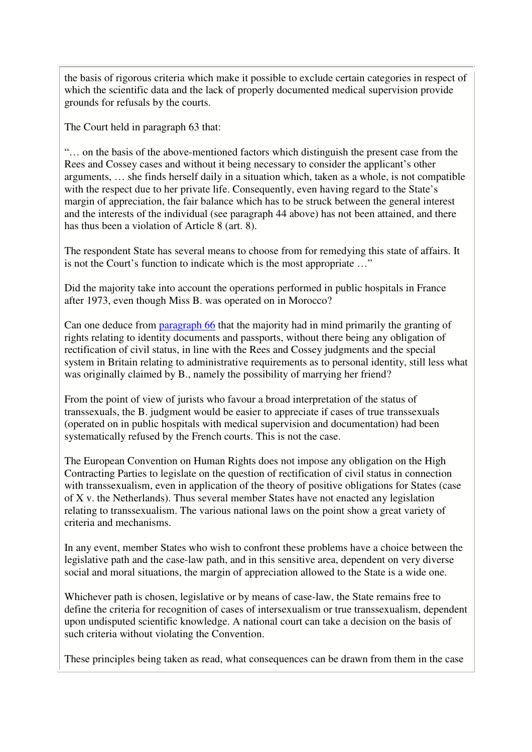the basis of rigorous criteria which make it possible to exclude certain categories in respect of which the scientific data and the lack of properly documented medical supervision provide grounds for refusals by the courts.

The Court held in paragraph 63 that:

"… on the basis of the above-mentioned factors which distinguish the present case from the Rees and Cossey cases and without it being necessary to consider the applicant's other arguments, … she finds herself daily in a situation which, taken as a whole, is not compatible with the respect due to her private life. Consequently, even having regard to the State's margin of appreciation, the fair balance which has to be struck between the general interest and the interests of the individual (see paragraph 44 above) has not been attained, and there has thus been a violation of Article 8 (art. 8).

The respondent State has several means to choose from for remedying this state of affairs. It is not the Court's function to indicate which is the most appropriate …"

Did the majority take into account the operations performed in public hospitals in France after 1973, even though Miss B. was operated on in Morocco?

Can one deduce from paragraph 66 that the majority had in mind primarily the granting of rights relating to identity documents and passports, without there being any obligation of rectification of civil status, in line with the Rees and Cossey judgments and the special system in Britain relating to administrative requirements as to personal identity, still less what was originally claimed by B., namely the possibility of marrying her friend?

From the point of view of jurists who favour a broad interpretation of the status of transsexuals, the B. judgment would be easier to appreciate if cases of true transsexuals (operated on in public hospitals with medical supervision and documentation) had been systematically refused by the French courts. This is not the case.

The European Convention on Human Rights does not impose any obligation on the High Contracting Parties to legislate on the question of rectification of civil status in connection with transsexualism, even in application of the theory of positive obligations for States (case of X v. the Netherlands). Thus several member States have not enacted any legislation relating to transsexualism. The various national laws on the point show a great variety of criteria and mechanisms.

In any event, member States who wish to confront these problems have a choice between the legislative path and the case-law path, and in this sensitive area, dependent on very diverse social and moral situations, the margin of appreciation allowed to the State is a wide one.

Whichever path is chosen, legislative or by means of case-law, the State remains free to define the criteria for recognition of cases of intersexualism or true transsexualism, dependent upon undisputed scientific knowledge. A national court can take a decision on the basis of such criteria without violating the Convention.

These principles being taken as read, what consequences can be drawn from them in the case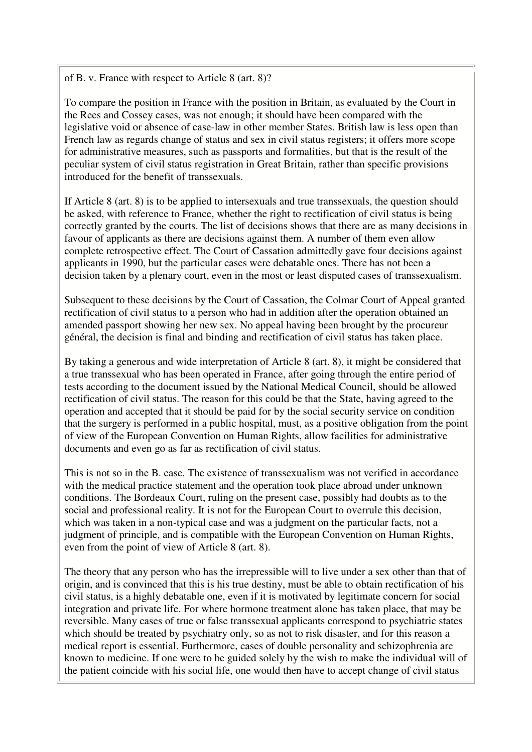of B. v. France with respect to Article 8 (art. 8)?

To compare the position in France with the position in Britain, as evaluated by the Court in the Rees and Cossey cases, was not enough; it should have been compared with the legislative void or absence of case-law in other member States. British law is less open than French law as regards change of status and sex in civil status registers; it offers more scope for administrative measures, such as passports and formalities, but that is the result of the peculiar system of civil status registration in Great Britain, rather than specific provisions introduced for the benefit of transsexuals.

If Article 8 (art. 8) is to be applied to intersexuals and true transsexuals, the question should be asked, with reference to France, whether the right to rectification of civil status is being correctly granted by the courts. The list of decisions shows that there are as many decisions in favour of applicants as there are decisions against them. A number of them even allow complete retrospective effect. The Court of Cassation admittedly gave four decisions against applicants in 1990, but the particular cases were debatable ones. There has not been a decision taken by a plenary court, even in the most or least disputed cases of transsexualism.

Subsequent to these decisions by the Court of Cassation, the Colmar Court of Appeal granted rectification of civil status to a person who had in addition after the operation obtained an amended passport showing her new sex. No appeal having been brought by the procureur général, the decision is final and binding and rectification of civil status has taken place.

By taking a generous and wide interpretation of Article 8 (art. 8), it might be considered that a true transsexual who has been operated in France, after going through the entire period of tests according to the document issued by the National Medical Council, should be allowed rectification of civil status. The reason for this could be that the State, having agreed to the operation and accepted that it should be paid for by the social security service on condition that the surgery is performed in a public hospital, must, as a positive obligation from the point of view of the European Convention on Human Rights, allow facilities for administrative documents and even go as far as rectification of civil status.

This is not so in the B. case. The existence of transsexualism was not verified in accordance with the medical practice statement and the operation took place abroad under unknown conditions. The Bordeaux Court, ruling on the present case, possibly had doubts as to the social and professional reality. It is not for the European Court to overrule this decision, which was taken in a non-typical case and was a judgment on the particular facts, not a judgment of principle, and is compatible with the European Convention on Human Rights, even from the point of view of Article 8 (art. 8).

The theory that any person who has the irrepressible will to live under a sex other than that of origin, and is convinced that this is his true destiny, must be able to obtain rectification of his civil status, is a highly debatable one, even if it is motivated by legitimate concern for social integration and private life. For where hormone treatment alone has taken place, that may be reversible. Many cases of true or false transsexual applicants correspond to psychiatric states which should be treated by psychiatry only, so as not to risk disaster, and for this reason a medical report is essential. Furthermore, cases of double personality and schizophrenia are known to medicine. If one were to be guided solely by the wish to make the individual will of the patient coincide with his social life, one would then have to accept change of civil status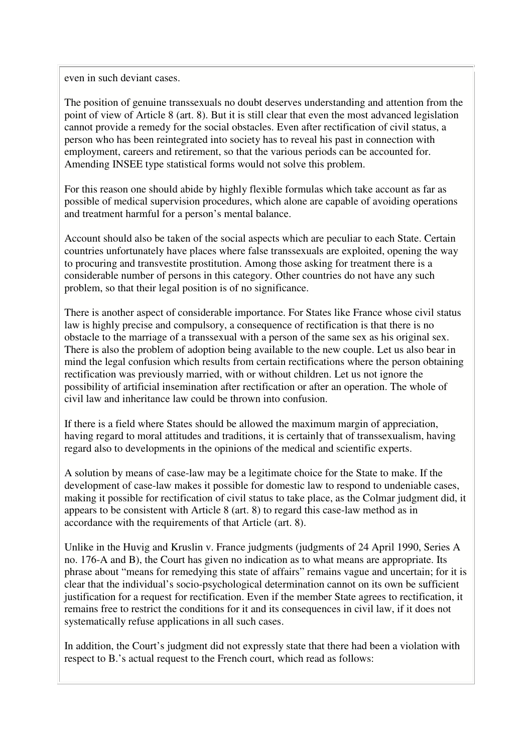even in such deviant cases.

The position of genuine transsexuals no doubt deserves understanding and attention from the point of view of Article 8 (art. 8). But it is still clear that even the most advanced legislation cannot provide a remedy for the social obstacles. Even after rectification of civil status, a person who has been reintegrated into society has to reveal his past in connection with employment, careers and retirement, so that the various periods can be accounted for. Amending INSEE type statistical forms would not solve this problem.

For this reason one should abide by highly flexible formulas which take account as far as possible of medical supervision procedures, which alone are capable of avoiding operations and treatment harmful for a person's mental balance.

Account should also be taken of the social aspects which are peculiar to each State. Certain countries unfortunately have places where false transsexuals are exploited, opening the way to procuring and transvestite prostitution. Among those asking for treatment there is a considerable number of persons in this category. Other countries do not have any such problem, so that their legal position is of no significance.

There is another aspect of considerable importance. For States like France whose civil status law is highly precise and compulsory, a consequence of rectification is that there is no obstacle to the marriage of a transsexual with a person of the same sex as his original sex. There is also the problem of adoption being available to the new couple. Let us also bear in mind the legal confusion which results from certain rectifications where the person obtaining rectification was previously married, with or without children. Let us not ignore the possibility of artificial insemination after rectification or after an operation. The whole of civil law and inheritance law could be thrown into confusion.

If there is a field where States should be allowed the maximum margin of appreciation, having regard to moral attitudes and traditions, it is certainly that of transsexualism, having regard also to developments in the opinions of the medical and scientific experts.

A solution by means of case-law may be a legitimate choice for the State to make. If the development of case-law makes it possible for domestic law to respond to undeniable cases, making it possible for rectification of civil status to take place, as the Colmar judgment did, it appears to be consistent with Article 8 (art. 8) to regard this case-law method as in accordance with the requirements of that Article (art. 8).

Unlike in the Huvig and Kruslin v. France judgments (judgments of 24 April 1990, Series A no. 176-A and B), the Court has given no indication as to what means are appropriate. Its phrase about "means for remedying this state of affairs" remains vague and uncertain; for it is clear that the individual's socio-psychological determination cannot on its own be sufficient justification for a request for rectification. Even if the member State agrees to rectification, it remains free to restrict the conditions for it and its consequences in civil law, if it does not systematically refuse applications in all such cases.

In addition, the Court's judgment did not expressly state that there had been a violation with respect to B.'s actual request to the French court, which read as follows: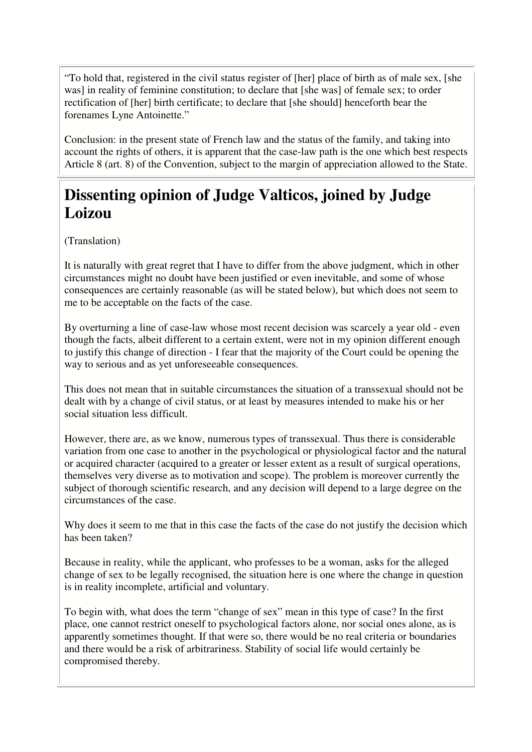"To hold that, registered in the civil status register of [her] place of birth as of male sex, [she was] in reality of feminine constitution; to declare that [she was] of female sex; to order rectification of [her] birth certificate; to declare that [she should] henceforth bear the forenames Lyne Antoinette."

Conclusion: in the present state of French law and the status of the family, and taking into account the rights of others, it is apparent that the case-law path is the one which best respects Article 8 (art. 8) of the Convention, subject to the margin of appreciation allowed to the State.

# **Dissenting opinion of Judge Valticos, joined by Judge Loizou**

(Translation)

It is naturally with great regret that I have to differ from the above judgment, which in other circumstances might no doubt have been justified or even inevitable, and some of whose consequences are certainly reasonable (as will be stated below), but which does not seem to me to be acceptable on the facts of the case.

By overturning a line of case-law whose most recent decision was scarcely a year old - even though the facts, albeit different to a certain extent, were not in my opinion different enough to justify this change of direction - I fear that the majority of the Court could be opening the way to serious and as yet unforeseeable consequences.

This does not mean that in suitable circumstances the situation of a transsexual should not be dealt with by a change of civil status, or at least by measures intended to make his or her social situation less difficult.

However, there are, as we know, numerous types of transsexual. Thus there is considerable variation from one case to another in the psychological or physiological factor and the natural or acquired character (acquired to a greater or lesser extent as a result of surgical operations, themselves very diverse as to motivation and scope). The problem is moreover currently the subject of thorough scientific research, and any decision will depend to a large degree on the circumstances of the case.

Why does it seem to me that in this case the facts of the case do not justify the decision which has been taken?

Because in reality, while the applicant, who professes to be a woman, asks for the alleged change of sex to be legally recognised, the situation here is one where the change in question is in reality incomplete, artificial and voluntary.

To begin with, what does the term "change of sex" mean in this type of case? In the first place, one cannot restrict oneself to psychological factors alone, nor social ones alone, as is apparently sometimes thought. If that were so, there would be no real criteria or boundaries and there would be a risk of arbitrariness. Stability of social life would certainly be compromised thereby.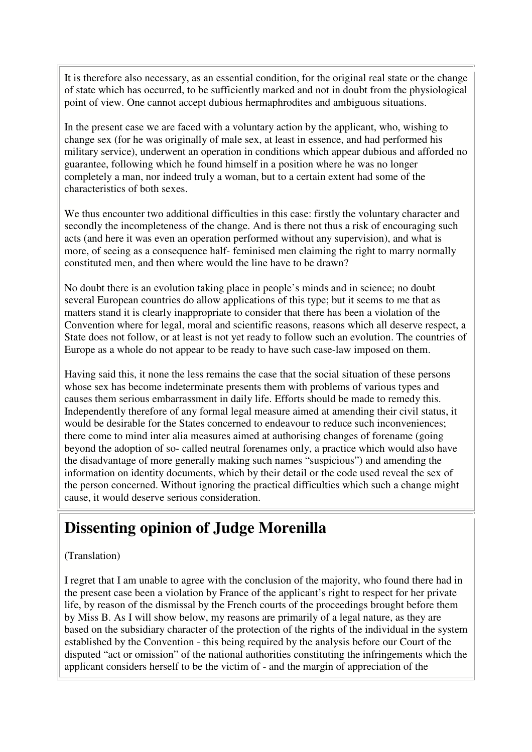It is therefore also necessary, as an essential condition, for the original real state or the change of state which has occurred, to be sufficiently marked and not in doubt from the physiological point of view. One cannot accept dubious hermaphrodites and ambiguous situations.

In the present case we are faced with a voluntary action by the applicant, who, wishing to change sex (for he was originally of male sex, at least in essence, and had performed his military service), underwent an operation in conditions which appear dubious and afforded no guarantee, following which he found himself in a position where he was no longer completely a man, nor indeed truly a woman, but to a certain extent had some of the characteristics of both sexes.

We thus encounter two additional difficulties in this case: firstly the voluntary character and secondly the incompleteness of the change. And is there not thus a risk of encouraging such acts (and here it was even an operation performed without any supervision), and what is more, of seeing as a consequence half- feminised men claiming the right to marry normally constituted men, and then where would the line have to be drawn?

No doubt there is an evolution taking place in people's minds and in science; no doubt several European countries do allow applications of this type; but it seems to me that as matters stand it is clearly inappropriate to consider that there has been a violation of the Convention where for legal, moral and scientific reasons, reasons which all deserve respect, a State does not follow, or at least is not yet ready to follow such an evolution. The countries of Europe as a whole do not appear to be ready to have such case-law imposed on them.

Having said this, it none the less remains the case that the social situation of these persons whose sex has become indeterminate presents them with problems of various types and causes them serious embarrassment in daily life. Efforts should be made to remedy this. Independently therefore of any formal legal measure aimed at amending their civil status, it would be desirable for the States concerned to endeavour to reduce such inconveniences; there come to mind inter alia measures aimed at authorising changes of forename (going beyond the adoption of so- called neutral forenames only, a practice which would also have the disadvantage of more generally making such names "suspicious") and amending the information on identity documents, which by their detail or the code used reveal the sex of the person concerned. Without ignoring the practical difficulties which such a change might cause, it would deserve serious consideration.

# **Dissenting opinion of Judge Morenilla**

## (Translation)

I regret that I am unable to agree with the conclusion of the majority, who found there had in the present case been a violation by France of the applicant's right to respect for her private life, by reason of the dismissal by the French courts of the proceedings brought before them by Miss B. As I will show below, my reasons are primarily of a legal nature, as they are based on the subsidiary character of the protection of the rights of the individual in the system established by the Convention - this being required by the analysis before our Court of the disputed "act or omission" of the national authorities constituting the infringements which the applicant considers herself to be the victim of - and the margin of appreciation of the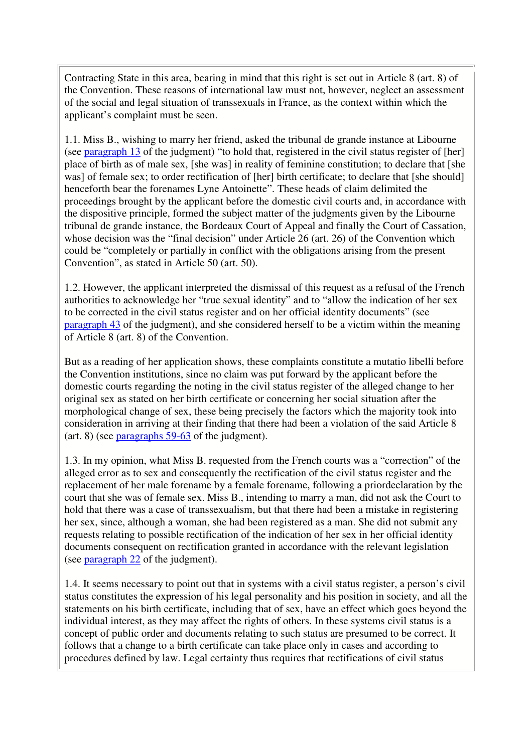Contracting State in this area, bearing in mind that this right is set out in Article 8 (art. 8) of the Convention. These reasons of international law must not, however, neglect an assessment of the social and legal situation of transsexuals in France, as the context within which the applicant's complaint must be seen.

1.1. Miss B., wishing to marry her friend, asked the tribunal de grande instance at Libourne (see paragraph 13 of the judgment) "to hold that, registered in the civil status register of [her] place of birth as of male sex, [she was] in reality of feminine constitution; to declare that [she was] of female sex; to order rectification of [her] birth certificate; to declare that [she should] henceforth bear the forenames Lyne Antoinette". These heads of claim delimited the proceedings brought by the applicant before the domestic civil courts and, in accordance with the dispositive principle, formed the subject matter of the judgments given by the Libourne tribunal de grande instance, the Bordeaux Court of Appeal and finally the Court of Cassation, whose decision was the "final decision" under Article 26 (art. 26) of the Convention which could be "completely or partially in conflict with the obligations arising from the present Convention", as stated in Article 50 (art. 50).

1.2. However, the applicant interpreted the dismissal of this request as a refusal of the French authorities to acknowledge her "true sexual identity" and to "allow the indication of her sex to be corrected in the civil status register and on her official identity documents" (see paragraph 43 of the judgment), and she considered herself to be a victim within the meaning of Article 8 (art. 8) of the Convention.

But as a reading of her application shows, these complaints constitute a mutatio libelli before the Convention institutions, since no claim was put forward by the applicant before the domestic courts regarding the noting in the civil status register of the alleged change to her original sex as stated on her birth certificate or concerning her social situation after the morphological change of sex, these being precisely the factors which the majority took into consideration in arriving at their finding that there had been a violation of the said Article 8 (art. 8) (see paragraphs 59-63 of the judgment).

1.3. In my opinion, what Miss B. requested from the French courts was a "correction" of the alleged error as to sex and consequently the rectification of the civil status register and the replacement of her male forename by a female forename, following a priordeclaration by the court that she was of female sex. Miss B., intending to marry a man, did not ask the Court to hold that there was a case of transsexualism, but that there had been a mistake in registering her sex, since, although a woman, she had been registered as a man. She did not submit any requests relating to possible rectification of the indication of her sex in her official identity documents consequent on rectification granted in accordance with the relevant legislation (see paragraph 22 of the judgment).

1.4. It seems necessary to point out that in systems with a civil status register, a person's civil status constitutes the expression of his legal personality and his position in society, and all the statements on his birth certificate, including that of sex, have an effect which goes beyond the individual interest, as they may affect the rights of others. In these systems civil status is a concept of public order and documents relating to such status are presumed to be correct. It follows that a change to a birth certificate can take place only in cases and according to procedures defined by law. Legal certainty thus requires that rectifications of civil status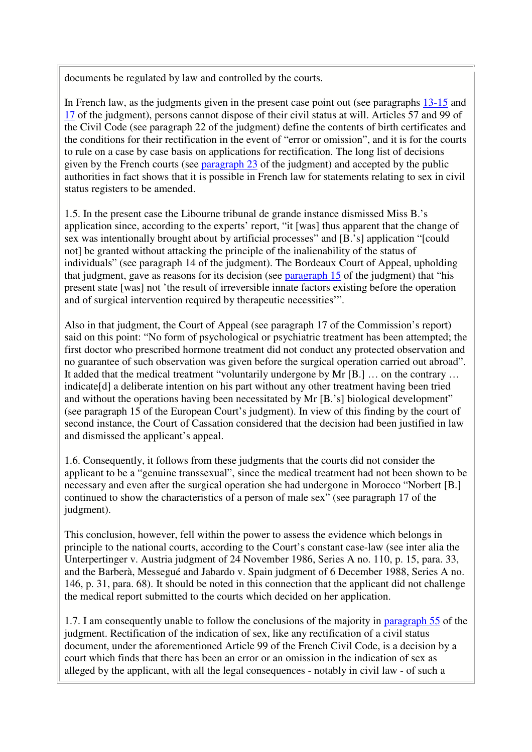documents be regulated by law and controlled by the courts.

In French law, as the judgments given in the present case point out (see paragraphs 13-15 and 17 of the judgment), persons cannot dispose of their civil status at will. Articles 57 and 99 of the Civil Code (see paragraph 22 of the judgment) define the contents of birth certificates and the conditions for their rectification in the event of "error or omission", and it is for the courts to rule on a case by case basis on applications for rectification. The long list of decisions given by the French courts (see paragraph 23 of the judgment) and accepted by the public authorities in fact shows that it is possible in French law for statements relating to sex in civil status registers to be amended.

1.5. In the present case the Libourne tribunal de grande instance dismissed Miss B.'s application since, according to the experts' report, "it [was] thus apparent that the change of sex was intentionally brought about by artificial processes" and [B.'s] application "[could not] be granted without attacking the principle of the inalienability of the status of individuals" (see paragraph 14 of the judgment). The Bordeaux Court of Appeal, upholding that judgment, gave as reasons for its decision (see paragraph 15 of the judgment) that "his present state [was] not 'the result of irreversible innate factors existing before the operation and of surgical intervention required by therapeutic necessities'".

Also in that judgment, the Court of Appeal (see paragraph 17 of the Commission's report) said on this point: "No form of psychological or psychiatric treatment has been attempted; the first doctor who prescribed hormone treatment did not conduct any protected observation and no guarantee of such observation was given before the surgical operation carried out abroad". It added that the medical treatment "voluntarily undergone by Mr [B.] … on the contrary … indicate[d] a deliberate intention on his part without any other treatment having been tried and without the operations having been necessitated by Mr [B.'s] biological development" (see paragraph 15 of the European Court's judgment). In view of this finding by the court of second instance, the Court of Cassation considered that the decision had been justified in law and dismissed the applicant's appeal.

1.6. Consequently, it follows from these judgments that the courts did not consider the applicant to be a "genuine transsexual", since the medical treatment had not been shown to be necessary and even after the surgical operation she had undergone in Morocco "Norbert [B.] continued to show the characteristics of a person of male sex" (see paragraph 17 of the judgment).

This conclusion, however, fell within the power to assess the evidence which belongs in principle to the national courts, according to the Court's constant case-law (see inter alia the Unterpertinger v. Austria judgment of 24 November 1986, Series A no. 110, p. 15, para. 33, and the Barberà, Messegué and Jabardo v. Spain judgment of 6 December 1988, Series A no. 146, p. 31, para. 68). It should be noted in this connection that the applicant did not challenge the medical report submitted to the courts which decided on her application.

1.7. I am consequently unable to follow the conclusions of the majority in paragraph 55 of the judgment. Rectification of the indication of sex, like any rectification of a civil status document, under the aforementioned Article 99 of the French Civil Code, is a decision by a court which finds that there has been an error or an omission in the indication of sex as alleged by the applicant, with all the legal consequences - notably in civil law - of such a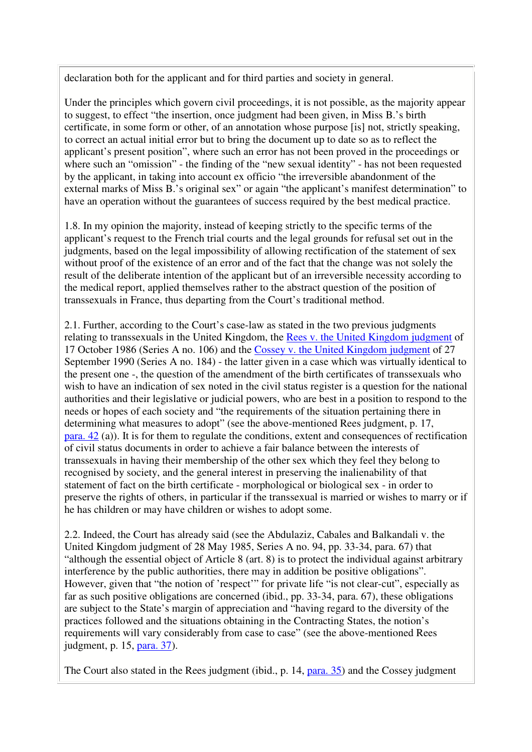declaration both for the applicant and for third parties and society in general.

Under the principles which govern civil proceedings, it is not possible, as the majority appear to suggest, to effect "the insertion, once judgment had been given, in Miss B.'s birth certificate, in some form or other, of an annotation whose purpose [is] not, strictly speaking, to correct an actual initial error but to bring the document up to date so as to reflect the applicant's present position", where such an error has not been proved in the proceedings or where such an "omission" - the finding of the "new sexual identity" - has not been requested by the applicant, in taking into account ex officio "the irreversible abandonment of the external marks of Miss B.'s original sex" or again "the applicant's manifest determination" to have an operation without the guarantees of success required by the best medical practice.

1.8. In my opinion the majority, instead of keeping strictly to the specific terms of the applicant's request to the French trial courts and the legal grounds for refusal set out in the judgments, based on the legal impossibility of allowing rectification of the statement of sex without proof of the existence of an error and of the fact that the change was not solely the result of the deliberate intention of the applicant but of an irreversible necessity according to the medical report, applied themselves rather to the abstract question of the position of transsexuals in France, thus departing from the Court's traditional method.

2.1. Further, according to the Court's case-law as stated in the two previous judgments relating to transsexuals in the United Kingdom, the Rees v. the United Kingdom judgment of 17 October 1986 (Series A no. 106) and the Cossey v. the United Kingdom judgment of 27 September 1990 (Series A no. 184) - the latter given in a case which was virtually identical to the present one -, the question of the amendment of the birth certificates of transsexuals who wish to have an indication of sex noted in the civil status register is a question for the national authorities and their legislative or judicial powers, who are best in a position to respond to the needs or hopes of each society and "the requirements of the situation pertaining there in determining what measures to adopt" (see the above-mentioned Rees judgment, p. 17, para.  $42$  (a)). It is for them to regulate the conditions, extent and consequences of rectification of civil status documents in order to achieve a fair balance between the interests of transsexuals in having their membership of the other sex which they feel they belong to recognised by society, and the general interest in preserving the inalienability of that statement of fact on the birth certificate - morphological or biological sex - in order to preserve the rights of others, in particular if the transsexual is married or wishes to marry or if he has children or may have children or wishes to adopt some.

2.2. Indeed, the Court has already said (see the Abdulaziz, Cabales and Balkandali v. the United Kingdom judgment of 28 May 1985, Series A no. 94, pp. 33-34, para. 67) that "although the essential object of Article 8 (art. 8) is to protect the individual against arbitrary interference by the public authorities, there may in addition be positive obligations". However, given that "the notion of 'respect'" for private life "is not clear-cut", especially as far as such positive obligations are concerned (ibid., pp. 33-34, para. 67), these obligations are subject to the State's margin of appreciation and "having regard to the diversity of the practices followed and the situations obtaining in the Contracting States, the notion's requirements will vary considerably from case to case" (see the above-mentioned Rees judgment, p. 15, para. 37).

The Court also stated in the Rees judgment (ibid., p. 14, para. 35) and the Cossey judgment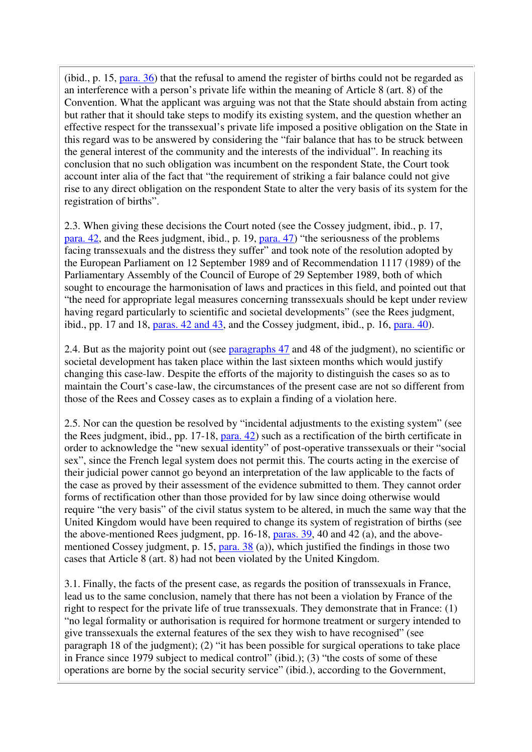(ibid., p. 15, para. 36) that the refusal to amend the register of births could not be regarded as an interference with a person's private life within the meaning of Article 8 (art. 8) of the Convention. What the applicant was arguing was not that the State should abstain from acting but rather that it should take steps to modify its existing system, and the question whether an effective respect for the transsexual's private life imposed a positive obligation on the State in this regard was to be answered by considering the "fair balance that has to be struck between the general interest of the community and the interests of the individual". In reaching its conclusion that no such obligation was incumbent on the respondent State, the Court took account inter alia of the fact that "the requirement of striking a fair balance could not give rise to any direct obligation on the respondent State to alter the very basis of its system for the registration of births".

2.3. When giving these decisions the Court noted (see the Cossey judgment, ibid., p. 17, para. 42, and the Rees judgment, ibid., p. 19, para. 47) "the seriousness of the problems facing transsexuals and the distress they suffer" and took note of the resolution adopted by the European Parliament on 12 September 1989 and of Recommendation 1117 (1989) of the Parliamentary Assembly of the Council of Europe of 29 September 1989, both of which sought to encourage the harmonisation of laws and practices in this field, and pointed out that "the need for appropriate legal measures concerning transsexuals should be kept under review having regard particularly to scientific and societal developments" (see the Rees judgment, ibid., pp. 17 and 18, paras. 42 and 43, and the Cossey judgment, ibid., p. 16, para. 40).

2.4. But as the majority point out (see paragraphs 47 and 48 of the judgment), no scientific or societal development has taken place within the last sixteen months which would justify changing this case-law. Despite the efforts of the majority to distinguish the cases so as to maintain the Court's case-law, the circumstances of the present case are not so different from those of the Rees and Cossey cases as to explain a finding of a violation here.

2.5. Nor can the question be resolved by "incidental adjustments to the existing system" (see the Rees judgment, ibid., pp. 17-18, para. 42) such as a rectification of the birth certificate in order to acknowledge the "new sexual identity" of post-operative transsexuals or their "social sex", since the French legal system does not permit this. The courts acting in the exercise of their judicial power cannot go beyond an interpretation of the law applicable to the facts of the case as proved by their assessment of the evidence submitted to them. They cannot order forms of rectification other than those provided for by law since doing otherwise would require "the very basis" of the civil status system to be altered, in much the same way that the United Kingdom would have been required to change its system of registration of births (see the above-mentioned Rees judgment, pp. 16-18, paras. 39, 40 and 42 (a), and the abovementioned Cossey judgment, p. 15, para.  $38$  (a)), which justified the findings in those two cases that Article 8 (art. 8) had not been violated by the United Kingdom.

3.1. Finally, the facts of the present case, as regards the position of transsexuals in France, lead us to the same conclusion, namely that there has not been a violation by France of the right to respect for the private life of true transsexuals. They demonstrate that in France: (1) "no legal formality or authorisation is required for hormone treatment or surgery intended to give transsexuals the external features of the sex they wish to have recognised" (see paragraph 18 of the judgment); (2) "it has been possible for surgical operations to take place in France since 1979 subject to medical control" (ibid.); (3) "the costs of some of these operations are borne by the social security service" (ibid.), according to the Government,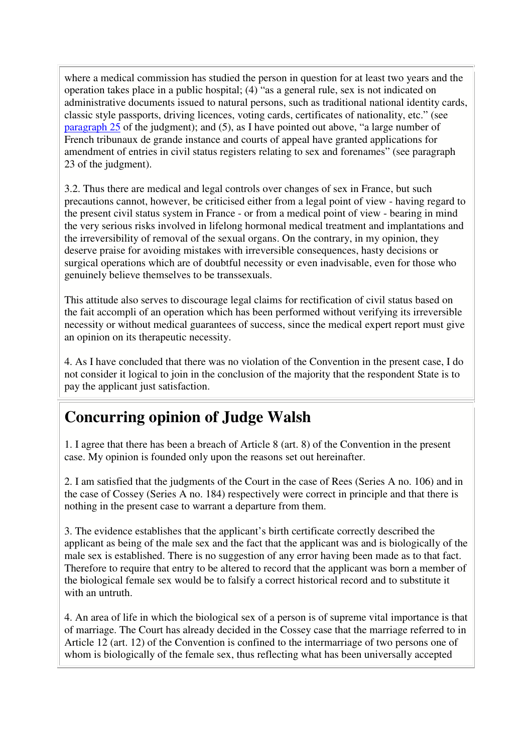where a medical commission has studied the person in question for at least two years and the operation takes place in a public hospital; (4) "as a general rule, sex is not indicated on administrative documents issued to natural persons, such as traditional national identity cards, classic style passports, driving licences, voting cards, certificates of nationality, etc." (see paragraph 25 of the judgment); and (5), as I have pointed out above, "a large number of French tribunaux de grande instance and courts of appeal have granted applications for amendment of entries in civil status registers relating to sex and forenames" (see paragraph 23 of the judgment).

3.2. Thus there are medical and legal controls over changes of sex in France, but such precautions cannot, however, be criticised either from a legal point of view - having regard to the present civil status system in France - or from a medical point of view - bearing in mind the very serious risks involved in lifelong hormonal medical treatment and implantations and the irreversibility of removal of the sexual organs. On the contrary, in my opinion, they deserve praise for avoiding mistakes with irreversible consequences, hasty decisions or surgical operations which are of doubtful necessity or even inadvisable, even for those who genuinely believe themselves to be transsexuals.

This attitude also serves to discourage legal claims for rectification of civil status based on the fait accompli of an operation which has been performed without verifying its irreversible necessity or without medical guarantees of success, since the medical expert report must give an opinion on its therapeutic necessity.

4. As I have concluded that there was no violation of the Convention in the present case, I do not consider it logical to join in the conclusion of the majority that the respondent State is to pay the applicant just satisfaction.

# **Concurring opinion of Judge Walsh**

1. I agree that there has been a breach of Article 8 (art. 8) of the Convention in the present case. My opinion is founded only upon the reasons set out hereinafter.

2. I am satisfied that the judgments of the Court in the case of Rees (Series A no. 106) and in the case of Cossey (Series A no. 184) respectively were correct in principle and that there is nothing in the present case to warrant a departure from them.

3. The evidence establishes that the applicant's birth certificate correctly described the applicant as being of the male sex and the fact that the applicant was and is biologically of the male sex is established. There is no suggestion of any error having been made as to that fact. Therefore to require that entry to be altered to record that the applicant was born a member of the biological female sex would be to falsify a correct historical record and to substitute it with an untruth.

4. An area of life in which the biological sex of a person is of supreme vital importance is that of marriage. The Court has already decided in the Cossey case that the marriage referred to in Article 12 (art. 12) of the Convention is confined to the intermarriage of two persons one of whom is biologically of the female sex, thus reflecting what has been universally accepted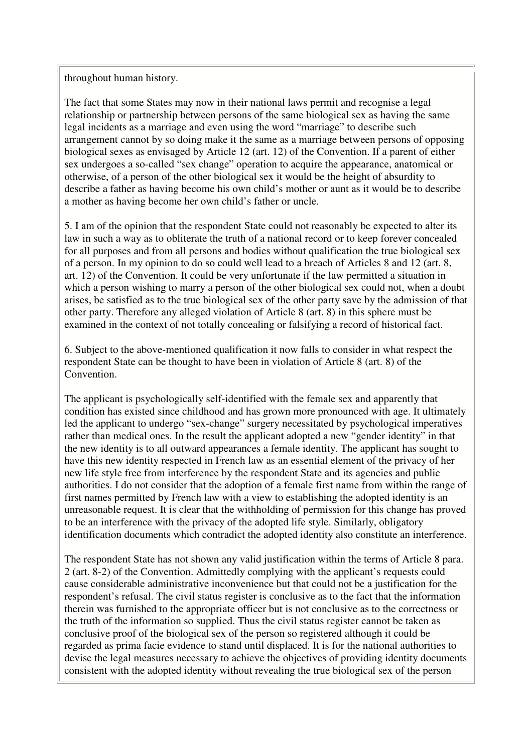### throughout human history.

The fact that some States may now in their national laws permit and recognise a legal relationship or partnership between persons of the same biological sex as having the same legal incidents as a marriage and even using the word "marriage" to describe such arrangement cannot by so doing make it the same as a marriage between persons of opposing biological sexes as envisaged by Article 12 (art. 12) of the Convention. If a parent of either sex undergoes a so-called "sex change" operation to acquire the appearance, anatomical or otherwise, of a person of the other biological sex it would be the height of absurdity to describe a father as having become his own child's mother or aunt as it would be to describe a mother as having become her own child's father or uncle.

5. I am of the opinion that the respondent State could not reasonably be expected to alter its law in such a way as to obliterate the truth of a national record or to keep forever concealed for all purposes and from all persons and bodies without qualification the true biological sex of a person. In my opinion to do so could well lead to a breach of Articles 8 and 12 (art. 8, art. 12) of the Convention. It could be very unfortunate if the law permitted a situation in which a person wishing to marry a person of the other biological sex could not, when a doubt arises, be satisfied as to the true biological sex of the other party save by the admission of that other party. Therefore any alleged violation of Article 8 (art. 8) in this sphere must be examined in the context of not totally concealing or falsifying a record of historical fact.

6. Subject to the above-mentioned qualification it now falls to consider in what respect the respondent State can be thought to have been in violation of Article 8 (art. 8) of the Convention.

The applicant is psychologically self-identified with the female sex and apparently that condition has existed since childhood and has grown more pronounced with age. It ultimately led the applicant to undergo "sex-change" surgery necessitated by psychological imperatives rather than medical ones. In the result the applicant adopted a new "gender identity" in that the new identity is to all outward appearances a female identity. The applicant has sought to have this new identity respected in French law as an essential element of the privacy of her new life style free from interference by the respondent State and its agencies and public authorities. I do not consider that the adoption of a female first name from within the range of first names permitted by French law with a view to establishing the adopted identity is an unreasonable request. It is clear that the withholding of permission for this change has proved to be an interference with the privacy of the adopted life style. Similarly, obligatory identification documents which contradict the adopted identity also constitute an interference.

The respondent State has not shown any valid justification within the terms of Article 8 para. 2 (art. 8-2) of the Convention. Admittedly complying with the applicant's requests could cause considerable administrative inconvenience but that could not be a justification for the respondent's refusal. The civil status register is conclusive as to the fact that the information therein was furnished to the appropriate officer but is not conclusive as to the correctness or the truth of the information so supplied. Thus the civil status register cannot be taken as conclusive proof of the biological sex of the person so registered although it could be regarded as prima facie evidence to stand until displaced. It is for the national authorities to devise the legal measures necessary to achieve the objectives of providing identity documents consistent with the adopted identity without revealing the true biological sex of the person